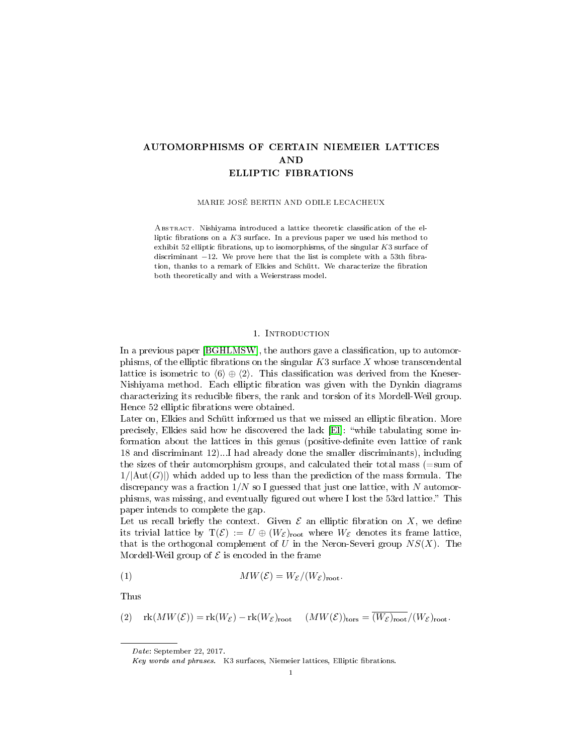# AUTOMORPHISMS OF CERTAIN NIEMEIER LATTICES AND ELLIPTIC FIBRATIONS

MARIE JOSÉ BERTIN AND ODILE LECACHEUX

ABSTRACT. Nishiyama introduced a lattice theoretic classification of the elliptic fibrations on a  $K3$  surface. In a previous paper we used his method to exhibit 52 elliptic fibrations, up to isomorphisms, of the singular  $K3$  surface of discriminant  $-12$ . We prove here that the list is complete with a 53th fibration, thanks to a remark of Elkies and Schütt. We characterize the fibration both theoretically and with a Weierstrass model.

### 1. Introduction

In a previous paper [\[BGHLMSW\]](#page-20-0), the authors gave a classification, up to automorphisms, of the elliptic fibrations on the singular  $K3$  surface X whose transcendental lattice is isometric to  $\langle 6 \rangle \oplus \langle 2 \rangle$ . This classification was derived from the Kneser-Nishiyama method. Each elliptic fibration was given with the Dynkin diagrams characterizing its reducible bers, the rank and torsion of its Mordell-Weil group. Hence 52 elliptic fibrations were obtained.

Later on, Elkies and Schütt informed us that we missed an elliptic fibration. More precisely, Elkies said how he discovered the lack [\[El\]](#page-21-0): "while tabulating some information about the lattices in this genus (positive-definite even lattice of rank 18 and discriminant 12)...I had already done the smaller discriminants), including the sizes of their automorphism groups, and calculated their total mass (=sum of  $1/|\text{Aut}(G)|$ ) which added up to less than the prediction of the mass formula. The discrepancy was a fraction  $1/N$  so I guessed that just one lattice, with N automorphisms, was missing, and eventually figured out where I lost the 53rd lattice." This paper intends to complete the gap.

Let us recall briefly the context. Given  $\mathcal E$  an elliptic fibration on X, we define its trivial lattice by  $T(\mathcal{E}) := U \oplus (W_{\mathcal{E}})_{\text{root}}$  where  $W_{\mathcal{E}}$  denotes its frame lattice, that is the orthogonal complement of U in the Neron-Severi group  $NS(X)$ . The Mordell-Weil group of  $\mathcal E$  is encoded in the frame

<span id="page-0-0"></span>
$$
(1) \t\t MW(\mathcal{E}) = W_{\mathcal{E}}/(W_{\mathcal{E}})_{\text{root}}.
$$

Thus

<span id="page-0-1"></span>
$$
(2) \quad \text{rk}(MW(\mathcal{E})) = \text{rk}(W_{\mathcal{E}}) - \text{rk}(W_{\mathcal{E}})_{\text{root}} \quad (MW(\mathcal{E}))_{\text{tors}} = \overline{(W_{\mathcal{E}})_{\text{root}}}/(W_{\mathcal{E}})_{\text{root}}.
$$

Date: September 22, 2017.

Key words and phrases. K3 surfaces, Niemeier lattices, Elliptic fibrations.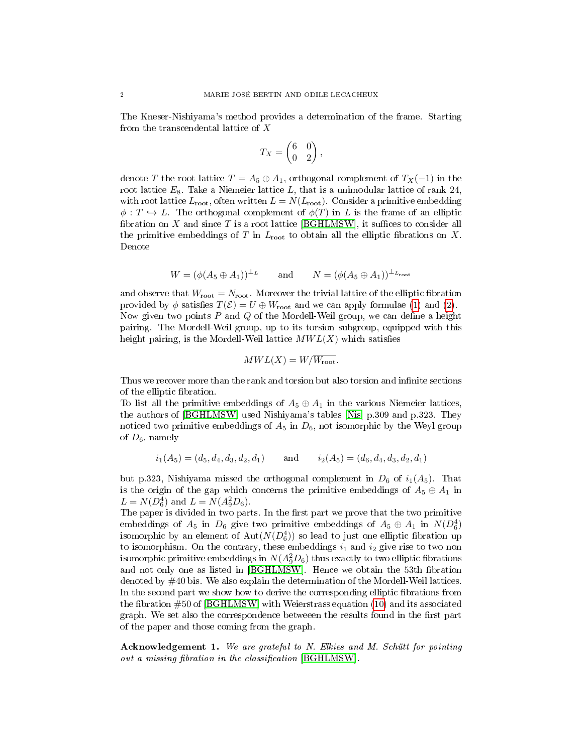The Kneser-Nishiyama's method provides a determination of the frame. Starting from the transcendental lattice of X

$$
T_X = \begin{pmatrix} 6 & 0 \\ 0 & 2 \end{pmatrix},
$$

denote T the root lattice  $T = A_5 \oplus A_1$ , orthogonal complement of  $T_X(-1)$  in the root lattice  $E_8$ . Take a Niemeier lattice L, that is a unimodular lattice of rank 24, with root lattice  $L_{\text{root}}$ , often written  $L = N(L_{\text{root}})$ . Consider a primitive embedding  $\phi: T \hookrightarrow L$ . The orthogonal complement of  $\phi(T)$  in L is the frame of an elliptic fibration on  $X$  and since  $T$  is a root lattice [\[BGHLMSW\]](#page-20-0), it suffices to consider all the primitive embeddings of T in  $L_{\text{root}}$  to obtain all the elliptic fibrations on X. Denote

$$
W=(\phi(A_5\oplus A_1))^{\perp_L}\qquad\text{and}\qquad N=(\phi(A_5\oplus A_1))^{\perp_{L_{\text{\rm root}}}}
$$

and observe that  $W_{\text{root}} = N_{\text{root}}$ . Moreover the trivial lattice of the elliptic fibration provided by  $\phi$  satisfies  $T(\mathcal{E}) = U \oplus W_{\text{root}}$  and we can apply formulae [\(1\)](#page-0-0) and [\(2\)](#page-0-1). Now given two points  $P$  and  $Q$  of the Mordell-Weil group, we can define a height pairing. The Mordell-Weil group, up to its torsion subgroup, equipped with this height pairing, is the Mordell-Weil lattice  $MWL(X)$  which satisfies

$$
MWL(X) = W/\overline{W_{\text{root}}}.
$$

Thus we recover more than the rank and torsion but also torsion and infinite sections of the elliptic fibration.

To list all the primitive embeddings of  $A_5 \oplus A_1$  in the various Niemeier lattices, the authors of [\[BGHLMSW\]](#page-20-0) used Nishiyama's tables [\[Nis\]](#page-21-1) p.309 and p.323. They noticed two primitive embeddings of  $A_5$  in  $D_6$ , not isomorphic by the Weyl group of  $D_6$ , namely

$$
i_1(A_5) = (d_5, d_4, d_3, d_2, d_1)
$$
 and  $i_2(A_5) = (d_6, d_4, d_3, d_2, d_1)$ 

but p.323, Nishiyama missed the orthogonal complement in  $D_6$  of  $i_1(A_5)$ . That is the origin of the gap which concerns the primitive embeddings of  $A_5 \oplus A_1$  in  $L = N(D_6^4)$  and  $L = N(A_9^2D_6)$ .

The paper is divided in two parts. In the first part we prove that the two primitive embeddings of  $A_5$  in  $D_6$  give two primitive embeddings of  $A_5 \oplus A_1$  in  $N(D_6^4)$ isomorphic by an element of  $\mathrm{Aut}(N(D_6^4))$  so lead to just one elliptic fibration up to isomorphism. On the contrary, these embeddings  $i_1$  and  $i_2$  give rise to two non isomorphic primitive embeddings in  $N(A_9^2D_6)$  thus exactly to two elliptic fibrations and not only one as listed in [\[BGHLMSW\]](#page-20-0). Hence we obtain the 53th fibration denoted by #40 bis. We also explain the determination of the Mordell-Weil lattices. In the second part we show how to derive the corresponding elliptic fibrations from the fibration  $\#50$  of [\[BGHLMSW\]](#page-20-0) with Weierstrass equation [\(10\)](#page-13-0) and its associated graph. We set also the correspondence betweeen the results found in the first part of the paper and those coming from the graph.

Acknowledgement 1. We are grateful to N. Elkies and M. Schütt for pointing out a missing fibration in the classification  $[BGHLMSW]$ .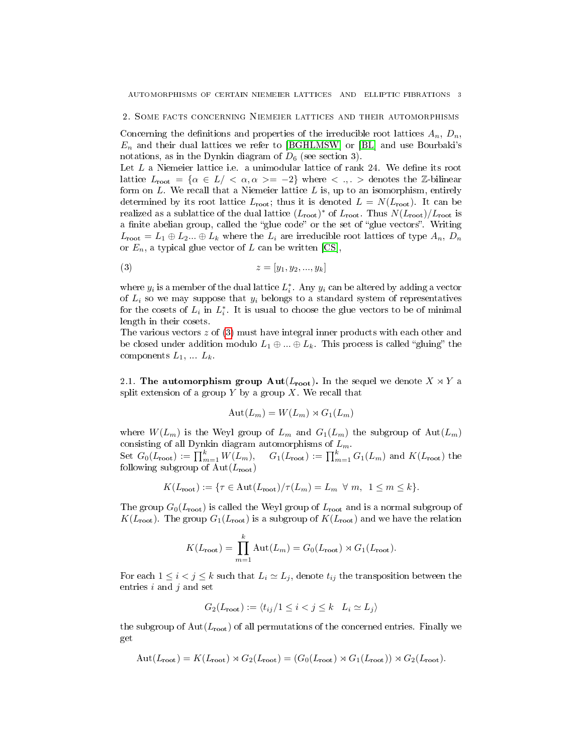2. Some facts concerning Niemeier lattices and their automorphisms

Concerning the definitions and properties of the irreducible root lattices  $A_n$ ,  $D_n$ ,  $E_n$  and their dual lattices we refer to [\[BGHLMSW\]](#page-20-0) or [\[BL\]](#page-20-1) and use Bourbaki's notations, as in the Dynkin diagram of  $D_6$  (see section 3).

Let  $L$  a Niemeier lattice i.e. a unimodular lattice of rank 24. We define its root lattice  $L_{\text{root}} = {\alpha \in L / \langle \alpha, \alpha \rangle = -2}$  where  $\langle \alpha, \beta \rangle$  denotes the Z-bilinear form on  $L$ . We recall that a Niemeier lattice  $L$  is, up to an isomorphism, entirely determined by its root lattice  $L_{\text{root}}$ ; thus it is denoted  $L = N(L_{\text{root}})$ . It can be realized as a sublattice of the dual lattice  $(L_{\text{root}})^*$  of  $L_{\text{root}}$ . Thus  $N(L_{\text{root}})/L_{\text{root}}$  is a finite abelian group, called the "glue code" or the set of "glue vectors". Writing  $L_{\text{root}} = L_1 \oplus L_2 ... \oplus L_k$  where the  $L_i$  are irreducible root lattices of type  $A_n$ ,  $D_n$ or  $E_n$ , a typical glue vector of L can be written [\[CS\]](#page-20-2),

<span id="page-2-0"></span>
$$
(3) \t z = [y_1, y_2, ..., y_k]
$$

where  $y_i$  is a member of the dual lattice  $L_i^*$ . Any  $y_i$  can be altered by adding a vector of  $L_i$  so we may suppose that  $y_i$  belongs to a standard system of representatives for the cosets of  $L_i$  in  $L_i^*$ . It is usual to choose the glue vectors to be of minimal length in their cosets.

The various vectors z of [\(3\)](#page-2-0) must have integral inner products with each other and be closed under addition modulo  $L_1 \oplus ... \oplus L_k$ . This process is called "gluing" the components  $L_1, \ldots L_k$ .

2.1. The automorphism group  $\text{Aut}(L_{\text{root}})$ . In the sequel we denote  $X \rtimes Y$  a split extension of a group  $Y$  by a group  $X$ . We recall that

$$
Aut(L_m) = W(L_m) \rtimes G_1(L_m)
$$

where  $W(L_m)$  is the Weyl group of  $L_m$  and  $G_1(L_m)$  the subgroup of  $\text{Aut}(L_m)$ consisting of all Dynkin diagram automorphisms of  $L_m$ .

Set  $G_0(L_{\text{root}}) := \prod_{m=1}^k W(L_m)$ ,  $G_1(L_{\text{root}}) := \prod_{m=1}^k G_1(L_m)$  and  $K(L_{\text{root}})$  the following subgroup of  $Aut(L_{root})$ 

$$
K(L_{\text{root}}) := \{ \tau \in \text{Aut}(L_{\text{root}}) / \tau(L_m) = L_m \ \forall \ m, \ 1 \le m \le k \}.
$$

The group  $G_0(L_{\text{root}})$  is called the Weyl group of  $L_{\text{root}}$  and is a normal subgroup of  $K(L_{\text{root}})$ . The group  $G_1(L_{\text{root}})$  is a subgroup of  $K(L_{\text{root}})$  and we have the relation

$$
K(L_{\text{root}}) = \prod_{m=1}^{k} \text{Aut}(L_m) = G_0(L_{\text{root}}) \rtimes G_1(L_{\text{root}}).
$$

For each  $1 \leq i < j \leq k$  such that  $L_i \simeq L_j$ , denote  $t_{ij}$  the transposition between the entries  $i$  and  $j$  and set

$$
G_2(L_{\text{root}}) := \langle t_{ij}/1 \le i < j \le k \quad L_i \simeq L_j \rangle
$$

the subgroup of  $Aut(L_{root})$  of all permutations of the concerned entries. Finally we get

$$
Aut(L_{\text{root}}) = K(L_{\text{root}}) \rtimes G_2(L_{\text{root}}) = (G_0(L_{\text{root}}) \rtimes G_1(L_{\text{root}})) \rtimes G_2(L_{\text{root}}).
$$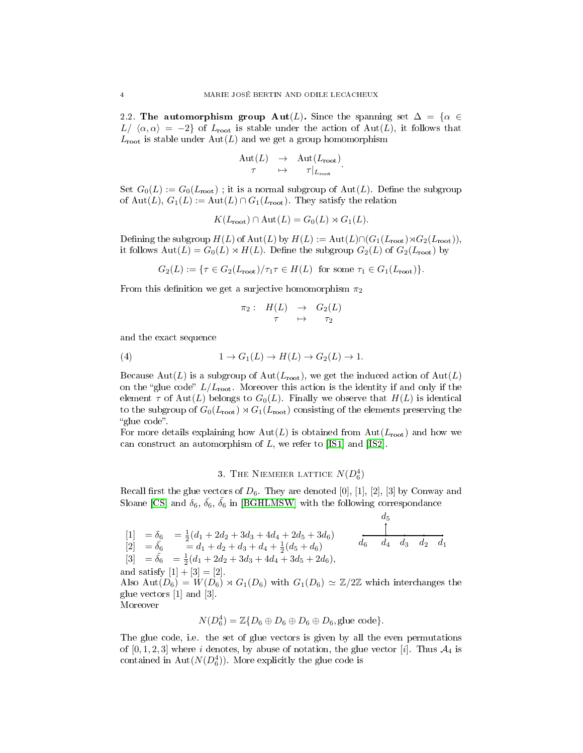2.2. The automorphism group Aut(L). Since the spanning set  $\Delta = {\alpha \in \mathbb{R}^n}$  $L/\langle \alpha, \alpha \rangle = -2$  of  $L_{\text{root}}$  is stable under the action of Aut(L), it follows that  $L_{\text{root}}$  is stable under  $\text{Aut}(L)$  and we get a group homomorphism

$$
\begin{array}{rcl}\n\mathrm{Aut}(L) & \to & \mathrm{Aut}(L_{\mathrm{root}}) \\
\tau & \mapsto & \tau|_{L_{\mathrm{root}}}.\n\end{array}
$$

Set  $G_0(L) := G_0(L_{\text{root}})$ ; it is a normal subgroup of  $\text{Aut}(L)$ . Define the subgroup of Aut(L),  $G_1(L) := \text{Aut}(L) \cap G_1(L_{\text{root}})$ . They satisfy the relation

$$
K(L_{\text{root}}) \cap \text{Aut}(L) = G_0(L) \rtimes G_1(L).
$$

Defining the subgroup  $H(L)$  of  $\text{Aut}(L)$  by  $H(L) := \text{Aut}(L) \cap (G_1(L_{\text{root}}) \rtimes G_2(L_{\text{root}})),$ it follows  $\text{Aut}(L) = G_0(L) \rtimes H(L)$ . Define the subgroup  $G_2(L)$  of  $G_2(L_{\text{root}})$  by

$$
G_2(L) := \{ \tau \in G_2(L_{\text{root}}) / \tau_1 \tau \in H(L) \text{ for some } \tau_1 \in G_1(L_{\text{root}}) \}.
$$

From this definition we get a surjective homomorphism  $\pi_2$ 

$$
\begin{array}{rcl}\n\pi_2: & H(L) & \to & G_2(L) \\
\tau & \mapsto & \tau_2\n\end{array}
$$

and the exact sequence

(4) 
$$
1 \to G_1(L) \to H(L) \to G_2(L) \to 1.
$$

Because  $\text{Aut}(L)$  is a subgroup of  $\text{Aut}(L_{\text{root}})$ , we get the induced action of  $\text{Aut}(L)$ on the "glue code"  $L/L_{\text{root}}$ . Moreover this action is the identity if and only if the element  $\tau$  of Aut(L) belongs to  $G_0(L)$ . Finally we observe that  $H(L)$  is identical to the subgroup of  $G_0(L_{\text{root}}) \rtimes G_1(L_{\text{root}})$  consisting of the elements preserving the "glue code".

For more details explaining how  $Aut(L)$  is obtained from  $Aut(L_{root})$  and how we can construct an automorphism of  $L$ , we refer to [\[IS1\]](#page-21-2) and [\[IS2\]](#page-21-3).

# 3. THE NIEMEIER LATTICE  $N(D_6^4)$

Recall first the glue vectors of  $D_6$ . They are denoted [0], [1], [2], [3] by Conway and Sloane [\[CS\]](#page-20-2) and  $\delta_6$ ,  $\bar{\delta_6}$ ,  $\tilde{\delta_6}$  in [\[BGHLMSW\]](#page-20-0) with the following correspondance

 $d_{\tau}$ 

$$
\begin{array}{ll}\n[1] & = \delta_6 & = \frac{1}{2}(d_1 + 2d_2 + 3d_3 + 4d_4 + 2d_5 + 3d_6) \\
[2] & = \bar{\delta}_6 & = d_1 + d_2 + d_3 + d_4 + \frac{1}{2}(d_5 + d_6) \\
[3] & = \bar{\delta}_6 & = \frac{1}{2}(d_1 + 2d_2 + 3d_3 + 4d_4 + 3d_5 + 2d_6), \\
\text{and satisfy } [1] + [3] = [2]. \\
\text{Also Aut}(D_6) & = W(D_6) \rtimes G_1(D_6) \text{ with } G_1(D_6) \simeq \mathbb{Z}/2\mathbb{Z} \text{ which interchanges the glue vectors [1] and [3].}\n\end{array}
$$

Moreover

$$
N(D_6^4) = \mathbb{Z}{D_6 \oplus D_6 \oplus D_6 \oplus D_6, \text{glue code}}.
$$

The glue code, i.e. the set of glue vectors is given by all the even permutations of  $[0, 1, 2, 3]$  where i denotes, by abuse of notation, the glue vector  $[i]$ . Thus  $\mathcal{A}_4$  is contained in  $\text{Aut}(N(D_6^4))$ . More explicitly the glue code is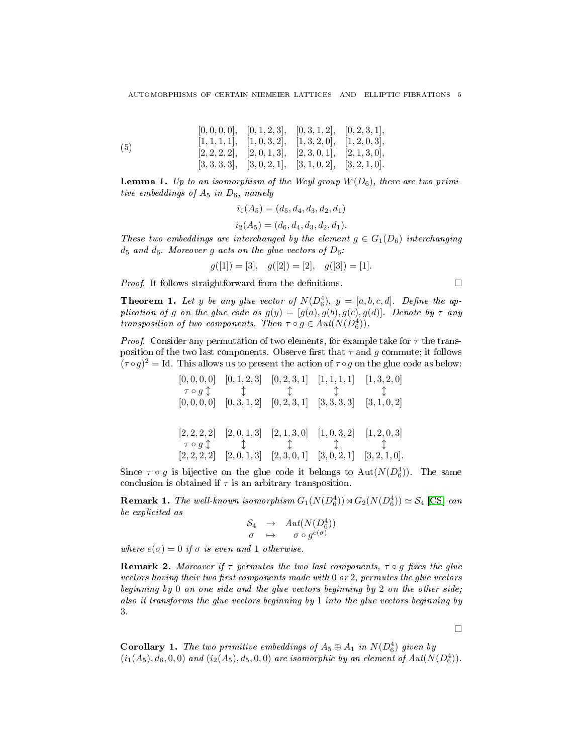$$
\begin{array}{cccc} [0,0,0,0], & [0,1,2,3], & [0,3,1,2], & [0,2,3,1], \\ [1,1,1,1], & [1,0,3,2], & [1,3,2,0], & [1,2,0,3], \\ [2,2,2,2], & [2,0,1,3], & [2,3,0,1], & [2,1,3,0], \\ [3,3,3,3,3], & [3,0,2,1], & [3,1,0,2], & [3,2,1,0]. \end{array}
$$

**Lemma 1.** Up to an isomorphism of the Weyl group  $W(D_6)$ , there are two primitive embeddings of  $A_5$  in  $D_6$ , namely

<span id="page-4-0"></span>
$$
i_1(A_5) = (d_5, d_4, d_3, d_2, d_1)
$$
  

$$
i_2(A_5) = (d_6, d_4, d_3, d_2, d_1).
$$

These two embeddings are interchanged by the element  $g \in G_1(D_6)$  interchanging  $d_5$  and  $d_6$ . Moreover g acts on the glue vectors of  $D_6$ :

$$
g([1]) = [3], \quad g([2]) = [2], \quad g([3]) = [1].
$$

*Proof.* It follows straightforward from the definitions.  $\Box$ 

**Theorem 1.** Let y be any glue vector of  $N(D_6^4)$ ,  $y = [a, b, c, d]$ . Define the application of g on the glue code as  $g(y) = [g(a), g(b), g(c), g(d)]$ . Denote by  $\tau$  any transposition of two components. Then  $\tau \circ g \in Aut(N(D_6^4))$ .

*Proof.* Consider any permutation of two elements, for example take for  $\tau$  the transposition of the two last components. Observe first that  $\tau$  and g commute; it follows  $(\tau \circ g)^2 =$  Id. This allows us to present the action of  $\tau \circ g$  on the glue code as below:

$$
\begin{array}{ccccccccc}\n[0,0,0,0] & [0,1,2,3] & [0,2,3,1] & [1,1,1,1] & [1,3,2,0] \\
\hline\n\tau \circ g \updownarrow & \updownarrow & \updownarrow & \updownarrow & \updownarrow \\
[0,0,0,0] & [0,3,1,2] & [0,2,3,1] & [3,3,3,3] & [3,1,0,2] \\
[2,2,2,2] & [2,0,1,3] & [2,1,3,0] & [1,0,3,2] & [1,2,0,3] \\
\hline\n\tau \circ g \updownarrow & \updownarrow & \updownarrow & \updownarrow \\
[2,2,2,2] & [2,0,1,3] & [2,3,0,1] & [3,0,2,1] & [3,2,1,0].\n\end{array}
$$

Since  $\tau \circ g$  is bijective on the glue code it belongs to  $\text{Aut}(N(D_6^4))$ . The same conclusion is obtained if  $\tau$  is an arbitrary transposition.

**Remark 1.** The well-known isomorphism  $G_1(N(D_6^4)) \rtimes G_2(N(D_6^4)) \simeq \mathcal{S}_4$  [\[CS\]](#page-20-2) can be explicited as

$$
\begin{array}{rcl} \mathcal{S}_4 & \rightarrow & Aut(N(D_6^4)) \\ \sigma & \mapsto & \sigma \circ g^{e(\sigma)} \end{array}
$$

where  $e(\sigma) = 0$  if  $\sigma$  is even and 1 otherwise.

**Remark 2.** Moreover if  $\tau$  permutes the two last components,  $\tau \circ q$  fixes the glue vectors having their two first components made with  $0$  or  $2$ , permutes the glue vectors beginning by 0 on one side and the glue vectors beginning by 2 on the other side; also it transforms the glue vectors beginning by 1 into the glue vectors beginning by 3.

 $\Box$ 

**Corollary 1.** The two primitive embeddings of  $A_5 \oplus A_1$  in  $N(D_6^4)$  given by  $(i_1(A_5), d_6, 0, 0)$  and  $(i_2(A_5), d_5, 0, 0)$  are isomorphic by an element of  $Aut(N(D_6^4))$ .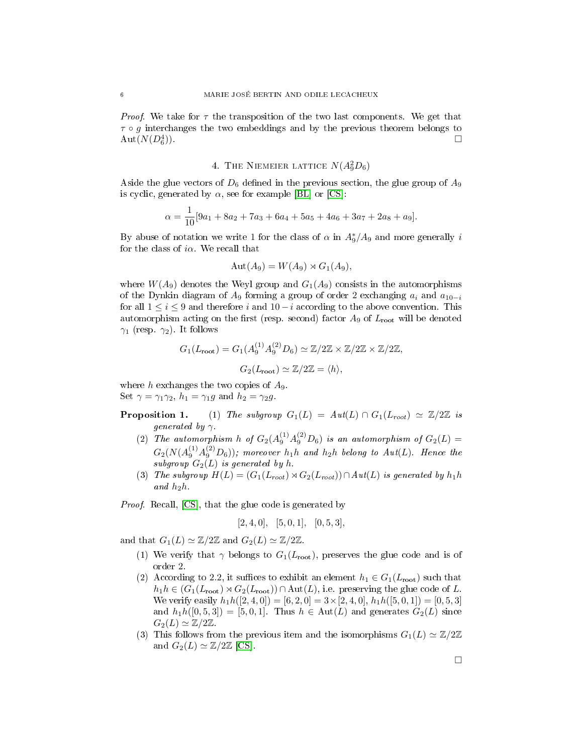*Proof.* We take for  $\tau$  the transposition of the two last components. We get that  $\tau \circ g$  interchanges the two embeddings and by the previous theorem belongs to  $\mathrm{Aut}(N(D_6^4$ )).  $\Box$ 

# 4. THE NIEMEIER LATTICE  $N(A_9^2D_6)$

Aside the glue vectors of  $D_6$  defined in the previous section, the glue group of  $A_9$ is cyclic, generated by  $\alpha$ , see for example [\[BL\]](#page-20-1) or [\[CS\]](#page-20-2):

$$
\alpha = \frac{1}{10} [9a_1 + 8a_2 + 7a_3 + 6a_4 + 5a_5 + 4a_6 + 3a_7 + 2a_8 + a_9].
$$

By abuse of notation we write 1 for the class of  $\alpha$  in  $A_9^*/A_9$  and more generally  $i$ for the class of  $i\alpha$ . We recall that

$$
Aut(A_9) = W(A_9) \rtimes G_1(A_9),
$$

where  $W(A_9)$  denotes the Weyl group and  $G_1(A_9)$  consists in the automorphisms of the Dynkin diagram of  $A_9$  forming a group of order 2 exchanging  $a_i$  and  $a_{10-i}$ for all  $1 \leq i \leq 9$  and therefore  $i$  and  $10-i$  according to the above convention. This automorphism acting on the first (resp. second) factor  $A_9$  of  $L_{\text{root}}$  will be denoted  $\gamma_1$  (resp.  $\gamma_2$ ). It follows

$$
G_1(L_{\text{root}}) = G_1(A_9^{(1)} A_9^{(2)} D_6) \simeq \mathbb{Z}/2\mathbb{Z} \times \mathbb{Z}/2\mathbb{Z} \times \mathbb{Z}/2\mathbb{Z},
$$
  

$$
G_2(L_{\text{root}}) \simeq \mathbb{Z}/2\mathbb{Z} = \langle h \rangle,
$$

where h exchanges the two copies of  $A_9$ . Set  $\gamma = \gamma_1 \gamma_2$ ,  $h_1 = \gamma_1 g$  and  $h_2 = \gamma_2 g$ .

- **Proposition 1.** (1) The subgroup  $G_1(L) = Aut(L) \cap G_1(L_{root}) \simeq \mathbb{Z}/2\mathbb{Z}$  is generated by  $\gamma$ .
	- (2) The automorphism h of  $G_2(A_9^{(1)}A_9^{(2)}D_6)$  is an automorphism of  $G_2(L)$  =  $G_2(N(A_9^{(1)}A_9^{(2)}D_6));$  moreover  $h_1h$  and  $h_2h$  belong to  $Aut(L).$  Hence the subgroup  $G_2(L)$  is generated by h.
	- (3) The subgroup  $H(L) = (G_1(L_{root}) \rtimes G_2(L_{root})) \cap Aut(L)$  is generated by  $h_1 h$ and  $h_2h$ .

Proof. Recall, [\[CS\]](#page-20-2), that the glue code is generated by

$$
[2, 4, 0], [5, 0, 1], [0, 5, 3],
$$

and that  $G_1(L) \simeq \mathbb{Z}/2\mathbb{Z}$  and  $G_2(L) \simeq \mathbb{Z}/2\mathbb{Z}$ .

- (1) We verify that  $\gamma$  belongs to  $G_1(L_{\text{root}})$ , preserves the glue code and is of order 2.
- (2) According to 2.2, it suffices to exhibit an element  $h_1 \in G_1(L_{\text{root}})$  such that  $h_1h \in (G_1(L_{\text{root}}) \rtimes G_2(L_{\text{root}})) \cap \text{Aut}(L)$ , i.e. preserving the glue code of L. We verify easily  $h_1h([2, 4, 0]) = [6, 2, 0] = 3 \times [2, 4, 0], h_1h([5, 0, 1]) = [0, 5, 3]$ and  $h_1h([0, 5, 3]) = [5, 0, 1]$ . Thus  $h \in \text{Aut}(L)$  and generates  $G_2(L)$  since  $G_2(L) \simeq \mathbb{Z}/2\mathbb{Z}$ .
- (3) This follows from the previous item and the isomorphisms  $G_1(L) \simeq \mathbb{Z}/2\mathbb{Z}$ and  $G_2(L) \simeq \mathbb{Z}/2\mathbb{Z}$  [\[CS\]](#page-20-2).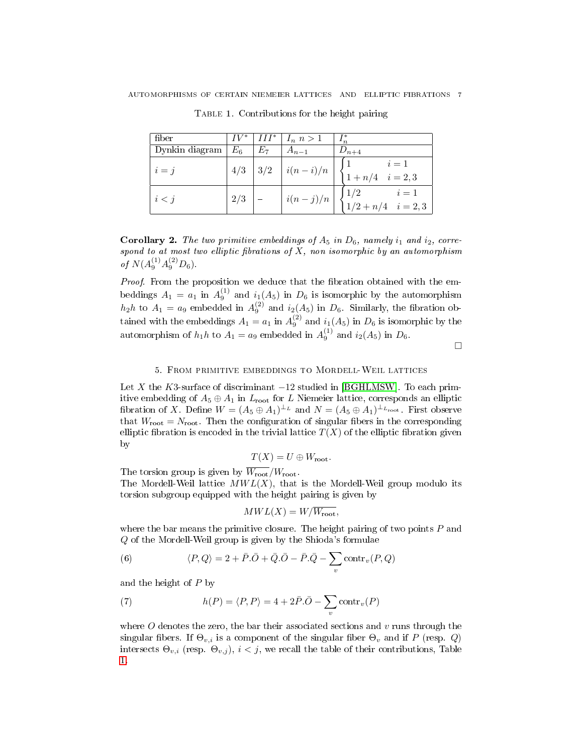| fiber          |       |     | $IV^*$   $III^*$   $I_n$ $n > 1$ | $I_n^*$                               |
|----------------|-------|-----|----------------------------------|---------------------------------------|
| Dynkin diagram | $E_6$ | E7  | $A_{n-1}$                        | $D_{n+4}$                             |
| $i = j$        | 4/3   | 3/2 | $i(n-i)/n$                       | $i=1$<br>$1 + n/4$ $i = 2,3$          |
| i < j          | 2/3   |     | $i(n-j)/n$                       | 1/2<br>$i=1$<br>$1/2 + n/4$ $i = 2,3$ |

<span id="page-6-0"></span>Table 1. Contributions for the height pairing

<span id="page-6-2"></span>**Corollary 2.** The two primitive embeddings of  $A_5$  in  $D_6$ , namely  $i_1$  and  $i_2$ , correspond to at most two elliptic fibrations of  $X$ , non isomorphic by an automorphism of  $N(A_9^{(1)}A_9^{(2)}D_6)$ .

Proof. From the proposition we deduce that the fibration obtained with the embeddings  $A_1 = a_1$  in  $A_9^{(1)}$  and  $i_1(A_5)$  in  $D_6$  is isomorphic by the automorphism  $h_2h$  to  $A_1 = a_9$  embedded in  $A_9^{(2)}$  and  $i_2(A_5)$  in  $D_6$ . Similarly, the fibration obtained with the embeddings  $A_1 = a_1$  in  $A_9^{(2)}$  and  $i_1(A_5)$  in  $D_6$  is isomorphic by the automorphism of  $h_1 h$  to  $A_1 = a_9$  embedded in  $A_9^{(1)}$  and  $i_2(A_5)$  in  $D_6$ .

 $\Box$ 

### 5. From primitive embeddings to Mordell-Weil lattices

Let X the K3-surface of discriminant  $-12$  studied in [\[BGHLMSW\]](#page-20-0). To each primitive embedding of  $A_5 \oplus A_1$  in  $L_{\text{root}}$  for L Niemeier lattice, corresponds an elliptic fibration of X. Define  $W = (A_5 \oplus A_1)^{\perp_L}$  and  $N = (A_5 \oplus A_1)^{\perp_{L_{\text{root}}}}$ . First observe that  $W_{\text{root}} = N_{\text{root}}$ . Then the configuration of singular fibers in the corresponding elliptic fibration is encoded in the trivial lattice  $T(X)$  of the elliptic fibration given by

$$
T(X) = U \oplus W_{\text{root}}.
$$

The torsion group is given by  $\overline{W_{\text{root}}}/W_{\text{root}}$ .

The Mordell-Weil lattice  $MWL(X)$ , that is the Mordell-Weil group modulo its torsion subgroup equipped with the height pairing is given by

$$
MWL(X) = W/\overline{W_{\text{root}}},
$$

where the bar means the primitive closure. The height pairing of two points  $P$  and Q of the Mordell-Weil group is given by the Shioda's formulae

<span id="page-6-3"></span>(6) 
$$
\langle P, Q \rangle = 2 + \bar{P} \cdot \bar{O} + \bar{Q} \cdot \bar{O} - \bar{P} \cdot \bar{Q} - \sum_{v} \text{contr}_{v} (P, Q)
$$

and the height of P by

<span id="page-6-1"></span>(7) 
$$
h(P) = \langle P, P \rangle = 4 + 2\bar{P} \cdot \bar{O} - \sum_{v} \text{contr}_{v}(P)
$$

where  $O$  denotes the zero, the bar their associated sections and  $v$  runs through the singular fibers. If  $\Theta_{v,i}$  is a component of the singular fiber  $\Theta_v$  and if P (resp. Q) intersects  $\Theta_{v,i}$  (resp.  $\Theta_{v,j}$ ),  $i < j$ , we recall the table of their contributions, Table [1.](#page-6-0)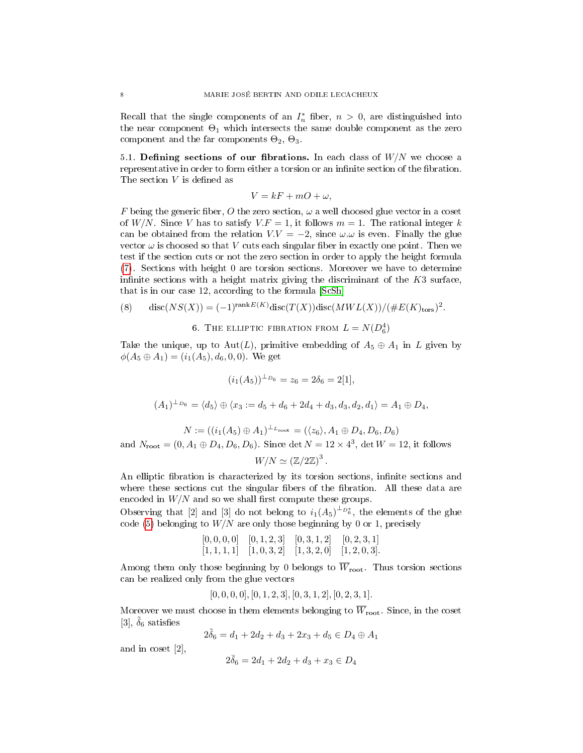Recall that the single components of an  $I_n^*$  fiber,  $n > 0$ , are distinguished into the near component  $\Theta_1$  which intersects the same double component as the zero component and the far components  $\Theta_2$ ,  $\Theta_3$ .

5.1. Defining sections of our fibrations. In each class of  $W/N$  we choose a representative in order to form either a torsion or an infinite section of the fibration. The section  $V$  is defined as

$$
V = kF + mO + \omega,
$$

F being the generic fiber, O the zero section,  $\omega$  a well choosed glue vector in a coset of W/N. Since V has to satisfy  $V.F = 1$ , it follows  $m = 1$ . The rational integer k can be obtained from the relation  $V.V = -2$ , since  $\omega.\omega$  is even. Finally the glue vector  $\omega$  is choosed so that V cuts each singular fiber in exactly one point. Then we test if the section cuts or not the zero section in order to apply the height formula [\(7\)](#page-6-1). Sections with height 0 are torsion sections. Moreover we have to determine infinite sections with a height matrix giving the discriminant of the  $K3$  surface, that is in our case 12, according to the formula [\[ScSh\]](#page-21-4)

<span id="page-7-0"></span>(8) 
$$
\operatorname{disc}(NS(X)) = (-1)^{\operatorname{rank}E(K)} \operatorname{disc}(T(X)) \operatorname{disc}(MWL(X)) / (\#E(K)_{\operatorname{tors}})^2.
$$

6. THE ELLIPTIC FIBRATION FROM  $L = N(D_6^4)$ 

Take the unique, up to Aut(L), primitive embedding of  $A_5 \oplus A_1$  in L given by  $\phi(A_5 \oplus A_1) = (i_1(A_5), d_6, 0, 0)$ . We get

$$
(i_1(A_5))^{\perp_{D_6}} = z_6 = 2\delta_6 = 2[1],
$$

$$
(A_1)^{\perp_{D_6}} = \langle d_5 \rangle \oplus \langle x_3 := d_5 + d_6 + 2d_4 + d_3, d_3, d_2, d_1 \rangle = A_1 \oplus D_4,
$$

$$
N := ((i_1(A_5) \oplus A_1)^{\perp_{L_{\text{root}}}} = (\langle z_6 \rangle, A_1 \oplus D_4, D_6, D_6)
$$
  
and  $N_{\text{root}} = (0, A_1 \oplus D_4, D_6, D_6)$ . Since det  $N = 12 \times 4^3$ , det  $W = 12$ , it follows

$$
W/N \simeq (\mathbb{Z}/2\mathbb{Z})^3
$$

.

An elliptic fibration is characterized by its torsion sections, infinite sections and where these sections cut the singular fibers of the fibration. All these data are encoded in  $W/N$  and so we shall first compute these groups.

Observing that [2] and [3] do not belong to  $i_1(A_5)^{\perp_{D_6^*}}$ , the elements of the glue code [\(5\)](#page-4-0) belonging to  $W/N$  are only those beginning by 0 or 1, precisely

> $[0, 0, 0, 0]$   $[0, 1, 2, 3]$   $[0, 3, 1, 2]$   $[0, 2, 3, 1]$  $[1, 1, 1, 1]$   $[1, 0, 3, 2]$   $[1, 3, 2, 0]$   $[1, 2, 0, 3]$ .

Among them only those beginning by 0 belongs to  $\overline{W}_{\mathrm{root}}$ . Thus torsion sections can be realized only from the glue vectors

$$
[0, 0, 0, 0], [0, 1, 2, 3], [0, 3, 1, 2], [0, 2, 3, 1].
$$

Moreover we must choose in them elements belonging to  $\overline{W}_{\mathrm{root}}$ . Since, in the coset [3],  $\tilde{\delta}_6$  satisfies

$$
2\tilde{\delta}_6 = d_1 + 2d_2 + d_3 + 2x_3 + d_5 \in D_4 \oplus A_1
$$

and in coset [2],

$$
2\bar{\delta}_6 = 2d_1 + 2d_2 + d_3 + x_3 \in D_4
$$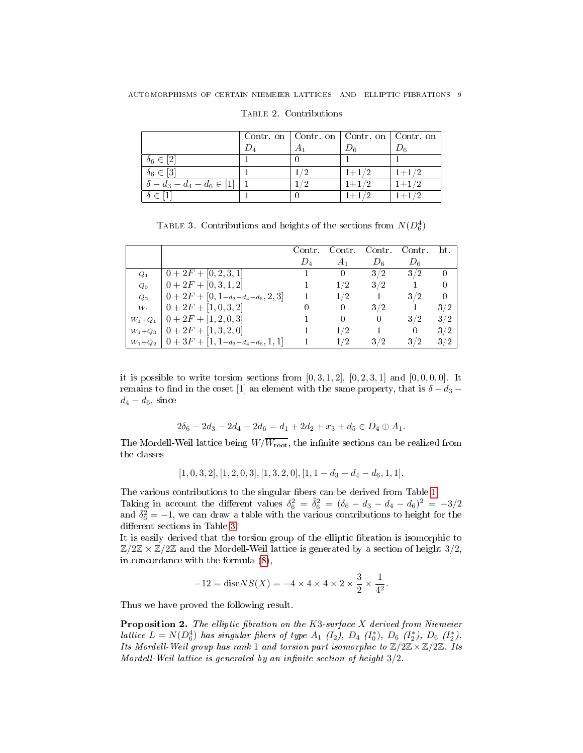|                                    | Contr. on $\vert$ Contr. on $\vert$ Contr. on $\vert$ Contr. on |                              |           |
|------------------------------------|-----------------------------------------------------------------|------------------------------|-----------|
|                                    |                                                                 | $\nu_{\scriptscriptstyle 6}$ |           |
| $\delta_6 \in [2]$                 |                                                                 |                              |           |
| $\tilde{\delta}_6 \in [3]$         | 1/2                                                             | $1+1/2$                      | $1+1/2$   |
| $\delta - d_3 - d_4 - d_6 \in [1]$ | פי                                                              | $1 + 1/2$                    | $1 + 1/2$ |
| $\delta \in [1]$                   |                                                                 | $1+1/2$                      | $1 + 1/2$ |

Table 2. Contributions

<span id="page-8-0"></span>TABLE 3. Contributions and heights of the sections from  $N(D_6^4)$ 

|                    |                                | Contr. | Contr.         | Contr.   | Contr. | ht.      |
|--------------------|--------------------------------|--------|----------------|----------|--------|----------|
|                    |                                | $D_4$  | A <sub>1</sub> | $D_6$    | $D_6$  |          |
| $\scriptstyle Q_1$ | $0+2F+[0,2,3,1]$               |        |                | 3/2      | 3/2    | $\theta$ |
| $Q_3$              | $0+2F+[0,3,1,2]$               |        | 1/2            | 3/2      |        | 0        |
| $Q_2$              | $0+2F+[0,1-a_3-a_4-a_6,2,3]$   |        | 1/2            |          | 3/2    | 0        |
| $W_1$              | $0+2F+[1,0,3,2]$               |        |                | 3/2      |        | 3/2      |
| $W_1 + Q_1$        | $0+2F+[1,2,0,3]$               |        |                | $\Omega$ | 3/2    | 3/2      |
| $W_1 + Q_3$        | $[0+2F+[1,3,2,0]$              |        | 1/2            |          | 0      | 3/2      |
| $W_1 + Q_2$        | $ 0+3F+[1,1-d_3-d_4-d_6,1,1] $ |        | 1/2            | 3/2      | 3/2    | 3/2      |

it is possible to write torsion sections from  $[0, 3, 1, 2]$ ,  $[0, 2, 3, 1]$  and  $[0, 0, 0, 0]$ . It remains to find in the coset [1] an element with the same property, that is  $\delta - d_3$  –  $d_4 - d_6$ , since

$$
2\delta_6 - 2d_3 - 2d_4 - 2d_6 = d_1 + 2d_2 + x_3 + d_5 \in D_4 \oplus A_1.
$$

The Mordell-Weil lattice being  $W/\overline{W_{\rm root}}$ , the infinite sections can be realized from the classes

$$
[1, 0, 3, 2], [1, 2, 0, 3], [1, 3, 2, 0], [1, 1 - d_3 - d_4 - d_6, 1, 1].
$$

The various contributions to the singular fibers can be derived from Table [1.](#page-6-0) Taking in account the different values  $\delta_6^2 = \tilde{\delta}_6^2 = (\delta_6 - d_3 - d_4 - d_6)^2 = -3/2$ and  $\overline{\delta_6^2} = -1$ , we can draw a table with the various contributions to height for the different sections in Table [3.](#page-8-0)

It is easily derived that the torsion group of the elliptic fibration is isomorphic to  $\mathbb{Z}/2\mathbb{Z} \times \mathbb{Z}/2\mathbb{Z}$  and the Mordell-Weil lattice is generated by a section of height  $3/2$ , in concordance with the formula [\(8\)](#page-7-0),

$$
-12 = \text{disc} NS(X) = -4 \times 4 \times 4 \times 2 \times \frac{3}{2} \times \frac{1}{4^2}.
$$

Thus we have proved the following result.

**Proposition 2.** The elliptic fibration on the K3-surface X derived from Niemeier lattice  $L = N(D_6^4)$  has singular fibers of type  $A_1$  ( $I_2$ ),  $D_4$  ( $I_6^*$ ),  $D_6$  ( $I_2^*$ ),  $D_6$  ( $I_2^*$ ). Its Mordell-Weil group has rank 1 and torsion part isomorphic to  $\mathbb{Z}/2\mathbb{Z}\times\mathbb{Z}/2\mathbb{Z}$ . Its Mordell-Weil lattice is generated by an infinite section of height  $3/2$ .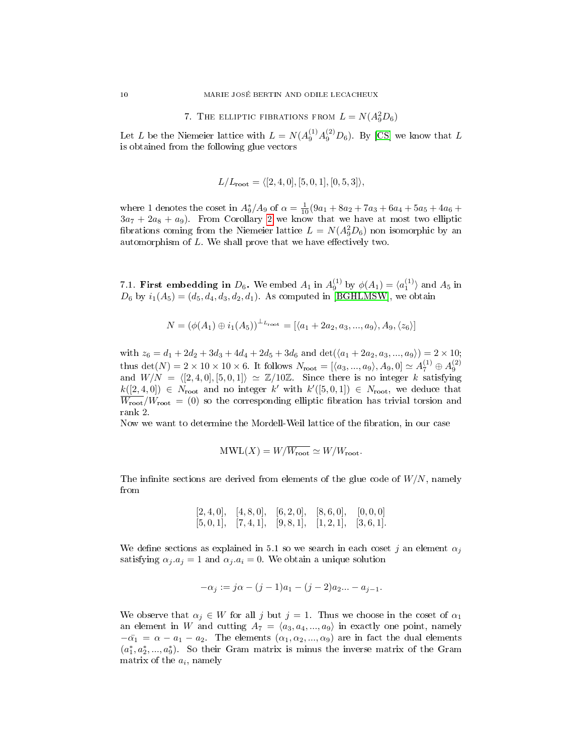7. THE ELLIPTIC FIBRATIONS FROM 
$$
L = N(A_9^2D_6)
$$

Let L be the Niemeier lattice with  $L = N(A_9^{(1)}A_9^{(2)}D_6)$ . By [\[CS\]](#page-20-2) we know that L is obtained from the following glue vectors

$$
L/L_{\text{root}} = \langle [2, 4, 0], [5, 0, 1], [0, 5, 3] \rangle,
$$

where 1 denotes the coset in  $A_9^*/A_9$  of  $\alpha = \frac{1}{10}(9a_1 + 8a_2 + 7a_3 + 6a_4 + 5a_5 + 4a_6 +$  $3a_7 + 2a_8 + a_9$  $3a_7 + 2a_8 + a_9$  $3a_7 + 2a_8 + a_9$ . From Corollary 2 we know that we have at most two elliptic fibrations coming from the Niemeier lattice  $L = N(A_9^2D_6)$  non isomorphic by an automorphism of  $L$ . We shall prove that we have effectively two.

7.1. **First embedding in**  $D_6$ . We embed  $A_1$  in  $A_9^{(1)}$  by  $\phi(A_1) = \langle a_1^{(1)} \rangle$  and  $A_5$  in  $D_6$  by  $i_1(A_5) = (d_5, d_4, d_3, d_2, d_1)$ . As computed in [\[BGHLMSW\]](#page-20-0), we obtain

$$
N = (\phi(A_1) \oplus i_1(A_5))^{\perp_{L_{\text{root}}}} = [\langle a_1 + 2a_2, a_3, ..., a_9 \rangle, A_9, \langle z_6 \rangle]
$$

with  $z_6 = d_1 + 2d_2 + 3d_3 + 4d_4 + 2d_5 + 3d_6$  and  $\det((a_1 + 2a_2, a_3, ..., a_9)) = 2 \times 10;$ thus  $\det(N) = 2 \times 10 \times 10 \times 6$ . It follows  $N_{\text{root}} = [\langle a_3, ..., a_9 \rangle, A_9, 0] \simeq A_7^{(1)} \oplus A_9^{(2)}$ and  $W/N = \langle [2, 4, 0], [5, 0, 1] \rangle \simeq \mathbb{Z}/10\mathbb{Z}$ . Since there is no integer k satisfying  $k([2, 4, 0]) \in N_{\text{root}}$  and no integer k' with  $k'([5, 0, 1]) \in N_{\text{root}}$ , we deduce that  $\overline{W_{\text{root}}}/W_{\text{root}} = (0)$  so the corresponding elliptic fibration has trivial torsion and rank 2.

Now we want to determine the Mordell-Weil lattice of the fibration, in our case

$$
\text{MWL}(X) = W/\overline{W_{\text{root}}} \simeq W/W_{\text{root}}.
$$

The infinite sections are derived from elements of the glue code of  $W/N$ , namely from

$$
\begin{array}{lllll} [2,4,0], & [4,8,0], & [6,2,0], & [8,6,0], & [0,0,0] \\ \hline [5,0,1], & [7,4,1], & [9,8,1], & [1,2,1], & [3,6,1]. \end{array}
$$

We define sections as explained in 5.1 so we search in each coset j an element  $\alpha_i$ satisfying  $\alpha_j \cdot a_j = 1$  and  $\alpha_j \cdot a_i = 0$ . We obtain a unique solution

$$
-\alpha_j := j\alpha - (j-1)a_1 - (j-2)a_2 ... - a_{j-1}.
$$

We observe that  $\alpha_j \in W$  for all j but  $j = 1$ . Thus we choose in the coset of  $\alpha_1$ an element in W and cutting  $A_7 = \langle a_3, a_4, ..., a_9 \rangle$  in exactly one point, namely  $-\bar{\alpha_1} = \alpha - a_1 - a_2$ . The elements  $(\alpha_1, \alpha_2, ..., \alpha_9)$  are in fact the dual elements  $(a_1^*, a_2^*, ..., a_9^*)$ . So their Gram matrix is minus the inverse matrix of the Gram matrix of the  $a_i$ , namely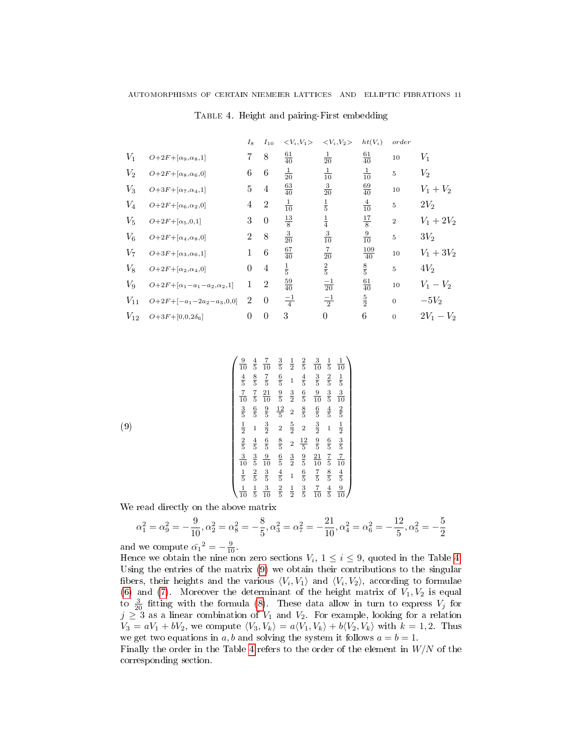|          |                                      | $I_8$    | $I_{10}$       | $\langle V_i, V_1 \rangle$ | $\langle V_i, V_2 \rangle$ | $ht(V_i)$        | order          |              |
|----------|--------------------------------------|----------|----------------|----------------------------|----------------------------|------------------|----------------|--------------|
| $V_1$    | $O+2F+[\alpha_9,\alpha_8,1]$         | 7        | 8              | $\frac{61}{40}$            | $\frac{1}{20}$             | $\frac{61}{40}$  | 10             | $V_1$        |
| $V_2$    | $O+2F+[\alpha_8,\alpha_6,0]$         | 6        | 6              | $\frac{1}{20}$             | $\frac{1}{10}$             | $\frac{1}{10}$   | $\sqrt{5}$     | $V_2$        |
| $V_3$    | $O+3F+[\alpha_7,\alpha_4,1]$         | 5        | 4              | $\frac{63}{40}$            | $rac{3}{20}$               | $\frac{69}{40}$  | 10             | $V_1 + V_2$  |
| $V_4$    | $O+2F+[\alpha_6,\alpha_2,0]$         | 4        | $\overline{2}$ | $\frac{1}{10}$             | $\frac{1}{5}$              | $\frac{4}{10}$   | $\overline{5}$ | $2V_2$       |
| $V_5$    | $O+2F+[\alpha_5,0,1]$                | 3        | $\overline{0}$ | $\frac{13}{8}$             | $\frac{1}{4}$              | $\frac{17}{8}$   | $\,2$          | $V_1 + 2V_2$ |
| $V_6$    | $O+2F+[\alpha_4,\alpha_8,0]$         | 2        | 8              | $\frac{3}{20}$             | $\frac{3}{10}$             | $\frac{9}{10}$   | $\overline{5}$ | $3V_2$       |
| $V_7$    | $O+3F+[\alpha_3,\alpha_6,1]$         | 1        | 6              | $\frac{67}{40}$            | $\frac{7}{20}$             | $\frac{109}{40}$ | 10             | $V_1 + 3V_2$ |
| $V_8$    | $O+2F+[\alpha_2,\alpha_4,0]$         | $\theta$ | 4              | $\frac{1}{5}$              | $\frac{2}{5}$              | $\frac{8}{5}$    | $\overline{5}$ | $4V_2$       |
| $V_9$    | $O+2F+[\alpha_1-a_1-a_2,\alpha_2,1]$ | 1        | $\overline{2}$ | $\frac{59}{40}$            | $\frac{-1}{20}$            | $\frac{61}{40}$  | 10             | $V_1 - V_2$  |
| $V_{11}$ | $O+2F+[-a_1-2a_2-a_3,0,0]$           | 2        | $\theta$       | $\frac{-1}{4}$             | $\frac{-1}{2}$             | $\frac{5}{2}$    | $\mathbf{0}$   | $-5V2$       |
| $V_{12}$ | $O+3F+[0,0,2\delta_6]$               | $\theta$ | $\theta$       | 3                          | $\boldsymbol{0}$           | 6                | $\mathbf{0}$   | $2V_1 - V_2$ |

<span id="page-10-0"></span>Table 4. Height and pairing-First embedding

<span id="page-10-1"></span>
$$
\begin{pmatrix}\n\frac{9}{10} & \frac{4}{5} & \frac{7}{10} & \frac{3}{5} & \frac{1}{2} & \frac{2}{5} & \frac{3}{10} & \frac{1}{5} & \frac{1}{10} \\
\frac{4}{5} & \frac{8}{5} & \frac{7}{5} & \frac{6}{5} & 1 & \frac{4}{5} & \frac{3}{5} & \frac{2}{5} & \frac{1}{5} \\
\frac{7}{10} & \frac{7}{5} & \frac{21}{10} & \frac{9}{5} & \frac{3}{2} & \frac{6}{5} & \frac{9}{10} & \frac{3}{5} & \frac{3}{10} \\
\frac{3}{5} & \frac{6}{5} & \frac{9}{5} & \frac{12}{5} & 2 & \frac{8}{5} & \frac{6}{5} & \frac{4}{5} & \frac{2}{5} \\
\frac{1}{2} & 1 & \frac{3}{2} & 2 & \frac{5}{2} & 2 & \frac{3}{2} & 1 & \frac{1}{2} \\
\frac{2}{5} & \frac{4}{5} & \frac{6}{5} & \frac{8}{5} & 2 & \frac{12}{5} & \frac{9}{5} & \frac{6}{5} & \frac{3}{5} \\
\frac{3}{10} & \frac{3}{5} & \frac{3}{10} & \frac{6}{5} & \frac{3}{2} & \frac{9}{5} & \frac{21}{10} & \frac{7}{5} & \frac{7}{10} \\
\frac{1}{5} & \frac{2}{5} & \frac{3}{5} & \frac{4}{5} & 1 & \frac{6}{5} & \frac{7}{5} & \frac{8}{5} & \frac{4}{5} \\
\frac{1}{10} & \frac{1}{5} & \frac{3}{10} & \frac{2}{5} & \frac{1}{2} & \frac{3}{5} & \frac{7}{10} & \frac{4}{5} & \frac{9}{10}\n\end{pmatrix}
$$

We read directly on the above matrix

$$
\alpha_1^2 = \alpha_9^2 = -\frac{9}{10}, \alpha_2^2 = \alpha_8^2 = -\frac{8}{5}, \alpha_3^2 = \alpha_7^2 = -\frac{21}{10}, \alpha_4^2 = \alpha_6^2 = -\frac{12}{5}, \alpha_5^2 = -\frac{5}{2}
$$

and we compute  $\bar{\alpha_1}^2 = -\frac{9}{10}$ .

(9)

Hence we obtain the nine non zero sections  $V_i$ ,  $1 \leq i \leq 9$ , quoted in the Table [4.](#page-10-0) Using the entries of the matrix [\(9\)](#page-10-1) we obtain their contributions to the singular fibers, their heights and the various  $\langle V_i, V_1 \rangle$  and  $\langle V_i, V_2 \rangle$ , according to formulae [\(6\)](#page-6-3) and [\(7\)](#page-6-1). Moreover the determinant of the height matrix of  $V_1, V_2$  is equal to  $\frac{3}{20}$  fitting with the formula [\(8\)](#page-7-0). These data allow in turn to express  $V_j$  for  $j \geq 3$  as a linear combination of  $V_1$  and  $V_2$ . For example, looking for a relation  $V_3 = aV_1 + bV_2$ , we compute  $\langle V_3, V_k \rangle = a \langle V_1, V_k \rangle + b \langle V_2, V_k \rangle$  with  $k = 1, 2$ . Thus we get two equations in a, b and solving the system it follows  $a = b = 1$ .

Finally the order in the Table [4](#page-10-0) refers to the order of the element in  $W/N$  of the corresponding section.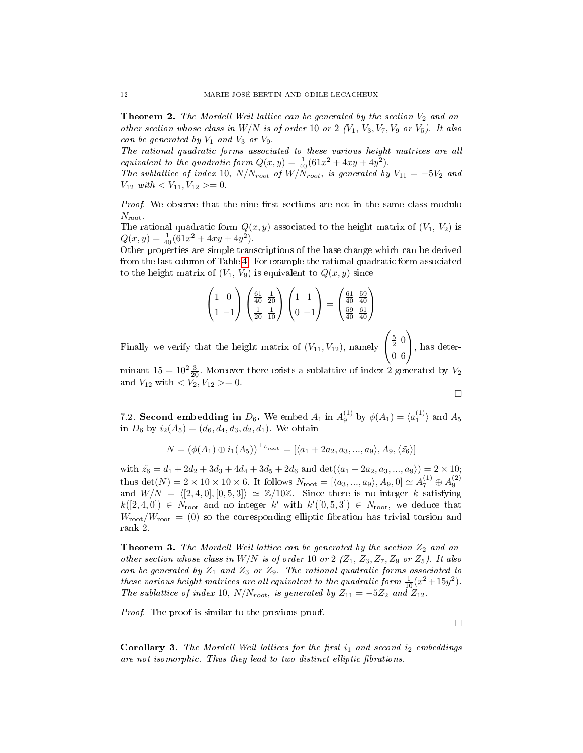**Theorem 2.** The Mordell-Weil lattice can be generated by the section  $V_2$  and another section whose class in  $W/N$  is of order 10 or 2  $(V_1, V_3, V_7, V_9$  or  $V_5)$ . It also can be generated by  $V_1$  and  $V_3$  or  $V_9$ .

The rational quadratic forms associated to these various height matrices are all equivalent to the quadratic form  $Q(x,y) = \frac{1}{40}(61x^2 + 4xy + 4y^2)$ .

The sublattice of index 10,  $N/N_{root}$  of  $W/N_{root}$ , is generated by  $V_{11} = -5V_2$  and  $V_{12} \text{ with } < V_{11}, V_{12} \geq 0.$ 

Proof. We observe that the nine first sections are not in the same class modulo  $N_{\text{root}}$ .

The rational quadratic form  $Q(x, y)$  associated to the height matrix of  $(V_1, V_2)$  is  $Q(x, y) = \frac{1}{40}(61x^2 + 4xy + 4y^2).$ 

Other properties are simple transcriptions of the base change which can be derived from the last column of Table [4.](#page-10-0) For example the rational quadratic form associated to the height matrix of  $(V_1, V_9)$  is equivalent to  $Q(x, y)$  since

$$
\begin{pmatrix} 1 & 0 \ 1 & -1 \end{pmatrix} \begin{pmatrix} \frac{61}{40} & \frac{1}{20} \\ \frac{1}{20} & \frac{1}{10} \end{pmatrix} \begin{pmatrix} 1 & 1 \\ 0 & -1 \end{pmatrix} = \begin{pmatrix} \frac{61}{40} & \frac{59}{40} \\ \frac{59}{40} & \frac{61}{40} \end{pmatrix}
$$

Finally we verify that the height matrix of  $(V_{11}, V_{12})$ , namely  $\sqrt{ }$  $\mathcal{L}$  $rac{5}{2}$  0 0 6  $\setminus$ , has deter-

minant  $15 = 10^2 \frac{3}{20}$ . Moreover there exists a sublattice of index 2 generated by  $V_2$ and  $V_{12}$  with  $\langle V_2, V_{12} \rangle = 0$ .

 $\Box$ 

7.2. Second embedding in  $D_6$ . We embed  $A_1$  in  $A_9^{(1)}$  by  $\phi(A_1) = \langle a_1^{(1)} \rangle$  and  $A_5$ in  $D_6$  by  $i_2(A_5) = (d_6, d_4, d_3, d_2, d_1)$ . We obtain

$$
N = (\phi(A_1) \oplus i_1(A_5))^{\perp_{L_{\text{root}}}} = [\langle a_1 + 2a_2, a_3, ..., a_9 \rangle, A_9, \langle \tilde{z}_6 \rangle]
$$

with  $\tilde{z}_6 = d_1 + 2d_2 + 3d_3 + 4d_4 + 3d_5 + 2d_6$  and  $\det((a_1 + 2a_2, a_3, ..., a_9)) = 2 \times 10;$ thus det(N) = 2 × 10 × 10 × 6. It follows  $N_{\text{root}} = [\langle a_3, ..., a_9 \rangle, A_9, 0] \simeq A_7^{(1)} \oplus A_9^{(2)}$ <br>and  $W/N = \langle [2, 4, 0], [0, 5, 3] \rangle \simeq \mathbb{Z}/10\mathbb{Z}$ . Since there is no integer k satisfying  $k([2, 4, 0]) \in N_{\text{root}}$  and no integer k' with  $k'([0, 5, 3]) \in N_{\text{root}}$ , we deduce that  $\overline{W_{\text{root}}}/W_{\text{root}} = (0)$  so the corresponding elliptic fibration has trivial torsion and rank 2.

**Theorem 3.** The Mordell-Weil lattice can be generated by the section  $Z_2$  and another section whose class in  $W/N$  is of order 10 or 2  $(Z_1, Z_3, Z_7, Z_9$  or  $Z_5$ ). It also can be generated by  $Z_1$  and  $Z_3$  or  $Z_9$ . The rational quadratic forms associated to these various height matrices are all equivalent to the quadratic form  $\frac{1}{10}(x^2+15y^2)$ . The sublattice of index 10,  $N/N_{root}$ , is generated by  $Z_{11} = -5Z_2$  and  $Z_{12}$ .

Proof. The proof is similar to the previous proof.

 $\Box$ 

**Corollary 3.** The Mordell-Weil lattices for the first  $i_1$  and second  $i_2$  embeddings are not isomorphic. Thus they lead to two distinct elliptic fibrations.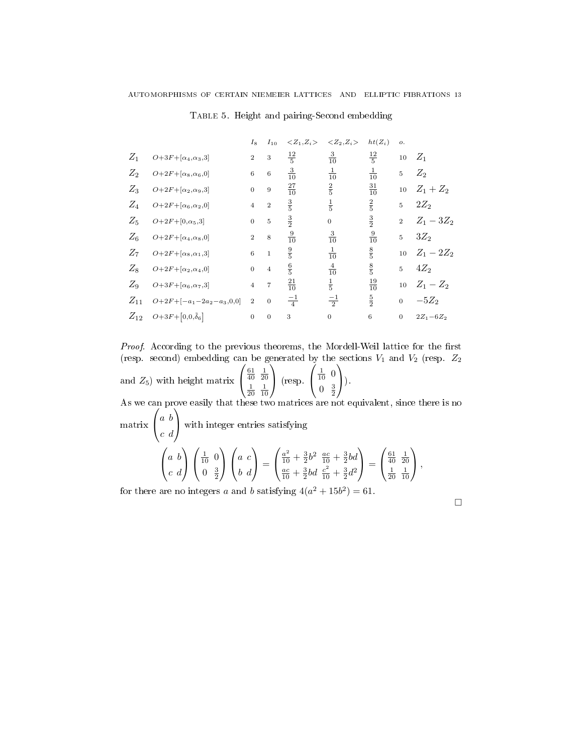|          |                                          | $I_8$            | $I_{10}$         | $Z_1, Z_i$      | $Z_2, Z_i$       | $ht(Z_i)$       | ο.             |               |
|----------|------------------------------------------|------------------|------------------|-----------------|------------------|-----------------|----------------|---------------|
| $Z_1$    | $O\!+\!3F\!+\![\alpha_4,\!\alpha_3,\!3]$ | $\overline{2}$   | 3                | $\frac{12}{5}$  | $\frac{3}{10}$   | $\frac{12}{5}$  | 10             | $Z_1$         |
| $Z_2$    | $O+2F+[\alpha_8,\alpha_6,0]$             | $\,6$            | $\,6$            | $\frac{3}{10}$  | $\frac{1}{10}$   | $\frac{1}{10}$  | 5              | $Z_2$         |
| $Z_3$    | $O+2F+[\alpha_2,\alpha_9,3]$             | $\boldsymbol{0}$ | 9                | $\frac{27}{10}$ | $\frac{2}{5}$    | $\frac{31}{10}$ | 10             | $Z_1 + Z_2$   |
| $Z_4$    | $O+2F+[\alpha_6,\alpha_2,0]$             | $\overline{4}$   | $\,2$            | $\frac{3}{5}$   | $\frac{1}{5}$    | $\frac{2}{5}$   | 5              | $2Z_2$        |
| $Z_5$    | $O+2F+[0,\alpha_5,3]$                    | $\boldsymbol{0}$ | $\bf 5$          | $\frac{3}{2}$   | $\boldsymbol{0}$ | $\frac{3}{2}$   | $\overline{2}$ | $Z_1 - 3Z_2$  |
| $Z_6$    | $O+2F+[\alpha_4,\alpha_8,0]$             | $\boldsymbol{2}$ | $\,$ 8 $\,$      | $\frac{9}{10}$  | $\frac{3}{10}$   | $\frac{9}{10}$  | 5              | $3Z_2$        |
| $Z_7$    | $O+2F+[\alpha_8,\alpha_1,3]$             | $\,6$            | $\mathbf{1}$     | $\frac{9}{5}$   | $\frac{1}{10}$   | $\frac{8}{5}$   | 10             | $Z_1 - 2Z_2$  |
| $Z_8$    | $O+2F+[\alpha_2,\alpha_4,0]$             | $\boldsymbol{0}$ | $\overline{4}$   | $\frac{6}{5}$   | $rac{4}{10}$     | $\frac{8}{5}$   | 5              | $4Z_2$        |
| $Z_9$    | $O+3F+[\alpha_6,\alpha_7,3]$             | $\overline{4}$   | $\overline{7}$   | $\frac{21}{10}$ | $\frac{1}{5}$    | $\frac{19}{10}$ | 10             | $Z_1 - Z_2$   |
| $Z_{11}$ | $O+2F+[-a_1-2a_2-a_3,0,0]$               | $\boldsymbol{2}$ | $\boldsymbol{0}$ | $\frac{-1}{4}$  | $\frac{-1}{2}$   | $\frac{5}{2}$   | $\overline{0}$ | $-5Z_2$       |
| $Z_{12}$ | $O+3F+[0,0,\tilde{\delta}_6]$            | $\boldsymbol{0}$ | $\theta$         | 3               | $\mathbf{0}$     | $\,6$           | $\mathbf{0}$   | $2Z_1 - 6Z_2$ |

Table 5. Height and pairing-Second embedding

Proof. According to the previous theorems, the Mordell-Weil lattice for the first (resp. second) embedding can be generated by the sections  $V_1$  and  $V_2$  (resp.  $Z_2$ and  $Z_5$ ) with height matrix  $\sqrt{ }$  $\mathcal{L}$  $\frac{61}{40}$   $\frac{1}{20}$  $rac{1}{20}$   $rac{1}{10}$  $\setminus$  (resp.  $\sqrt{ }$  $\mathcal{L}$  $\frac{1}{10}$  0  $0 \frac{3}{2}$  $\setminus$  $\bigcap$ . As we can prove easily that these two matrices are not equivalent, since there is no matrix  $\sqrt{ }$  $\mathcal{L}$ a b c d  $\setminus$  with integer entries satisfying  $\sqrt{ }$ a b  $\setminus$  $\sqrt{ }$  $\frac{1}{10}$  0  $\setminus$  $\sqrt{ }$ a c  $\setminus$  $\sqrt{ }$  $\frac{a^2}{10} + \frac{3}{2}b^2 \frac{ac}{10} + \frac{3}{2}bd$  $\setminus$  $\sqrt{ }$  $\frac{61}{40}$   $\frac{1}{20}$  $\setminus$ 

$$
\begin{pmatrix} a & b \\ c & d \end{pmatrix} \begin{pmatrix} \overline{10} & 0 \\ 0 & \frac{3}{2} \end{pmatrix} \begin{pmatrix} a & c \\ b & d \end{pmatrix} = \begin{pmatrix} \overline{10} + \overline{2} & \overline{10} + \overline{2} & 0 \\ \frac{ac}{10} + \frac{3}{2}bd & \frac{c^2}{10} + \frac{3}{2}d^2 \end{pmatrix} = \begin{pmatrix} \overline{40} & \overline{20} \\ \frac{1}{20} & \overline{10} \end{pmatrix},
$$

for there are no integers a and b satisfying  $4(a^2 + 15b^2) = 61$ .

 $\Box$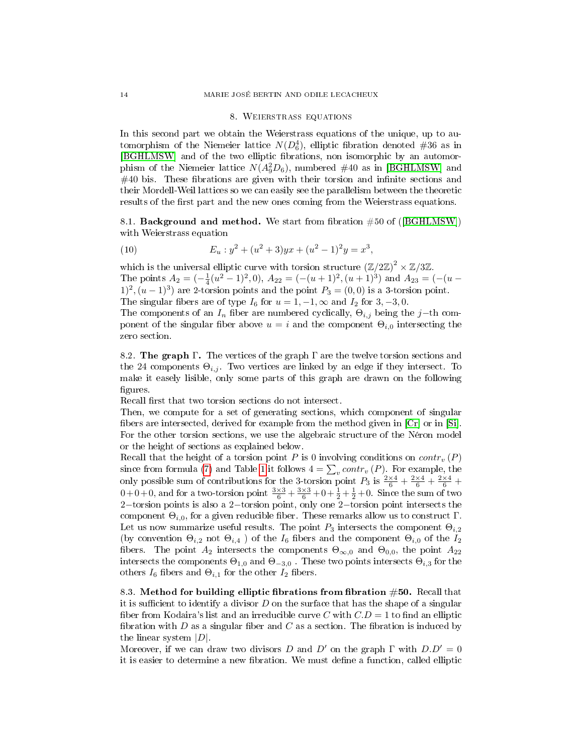#### 8. Weierstrass equations

In this second part we obtain the Weierstrass equations of the unique, up to automorphism of the Niemeier lattice  $N(D_6^4),$  elliptic fibration denoted #36 as in [\[BGHLMSW\]](#page-20-0) and of the two elliptic fibrations, non isomorphic by an automorphism of the Niemeier lattice  $N(A_9^2D_6)$ , numbered #40 as in [\[BGHLMSW\]](#page-20-0) and  $\#40$  bis. These fibrations are given with their torsion and infinite sections and their Mordell-Weil lattices so we can easily see the parallelism between the theoretic results of the first part and the new ones coming from the Weierstrass equations.

8.1. **Background and method.** We start from fibration  $\#50$  of ([\[BGHLMSW\]](#page-20-0)) with Weierstrass equation

<span id="page-13-0"></span>(10) 
$$
E_u: y^2 + (u^2 + 3)yx + (u^2 - 1)^2y = x^3,
$$

which is the universal elliptic curve with torsion structure  $(\mathbb{Z}/2\mathbb{Z})^2 \times \mathbb{Z}/3\mathbb{Z}$ . The points  $A_2 = \left(-\frac{1}{4}(u^2 - 1)^2, 0\right), A_{22} = \left(-\left(u+1\right)^2, \left(u+1\right)^3\right)$  and  $A_{23} = \left(-\left(u-1\right)^2, 0\right)$  $1)^2$ ,  $(u - 1)^3$  are 2-torsion points and the point  $P_3 = (0, 0)$  is a 3-torsion point. The singular fibers are of type  $I_6$  for  $u = 1, -1, \infty$  and  $I_2$  for 3, -3, 0.

The components of an  $I_n$  fiber are numbered cyclically,  $\Theta_{i,j}$  being the j−th component of the singular fiber above  $u = i$  and the component  $\Theta_{i,0}$  intersecting the zero section.

8.2. The graph  $\Gamma$ . The vertices of the graph  $\Gamma$  are the twelve torsion sections and the 24 components  $\Theta_{i,j}$ . Two vertices are linked by an edge if they intersect. To make it easely lisible, only some parts of this graph are drawn on the following figures.

Recall first that two torsion sections do not intersect.

Then, we compute for a set of generating sections, which component of singular bers are intersected, derived for example from the method given in [\[Cr\]](#page-20-3) or in [\[Si\]](#page-21-5). For the other torsion sections, we use the algebraic structure of the Néron model or the height of sections as explained below.

Recall that the height of a torsion point P is 0 involving conditions on  $contr<sub>v</sub>(P)$ since from formula [\(7\)](#page-6-1) and Table [1](#page-6-0) it follows  $4 = \sum_{v} contr_v(P)$ . For example, the only possible sum of contributions for the 3-torsion point  $P_3$  is  $\frac{2\times4}{6} + \frac{2\times4}{6} + \frac{2\times4}{6}$  $0+0+0$ , and for a two-torsion point  $\frac{3\times3}{6} + \frac{3\times3}{6} + 0 + \frac{1}{2} + \frac{1}{2} + 0$ . Since the sum of two 2−torsion points is also a 2−torsion point, only one 2−torsion point intersects the component  $\Theta_{i,0}$ , for a given reducible fiber. These remarks allow us to construct  $\Gamma$ . Let us now summarize useful results. The point  $P_3$  intersects the component  $\Theta_{i,2}$ (by convention  $\Theta_{i,2}$  not  $\Theta_{i,4}$ ) of the  $I_6$  fibers and the component  $\Theta_{i,0}$  of the  $I_2$ fibers. The point  $A_2$  intersects the components  $\Theta_{\infty,0}$  and  $\Theta_{0,0}$ , the point  $A_{22}$ intersects the components  $\Theta_{1,0}$  and  $\Theta_{-3,0}$ . These two points intersects  $\Theta_{i,3}$  for the others  $I_6$  fibers and  $\Theta_{i,1}$  for the other  $I_2$  fibers.

8.3. Method for building elliptic fibrations from fibration  $#50$ . Recall that it is sufficient to identify a divisor  $D$  on the surface that has the shape of a singular fiber from Kodaira's list and an irreducible curve C with  $C.D = 1$  to find an elliptic fibration with  $D$  as a singular fiber and  $C$  as a section. The fibration is induced by the linear system  $|D|$ .

Moreover, if we can draw two divisors D and D' on the graph  $\Gamma$  with  $D.D' = 0$ it is easier to determine a new fibration. We must define a function, called elliptic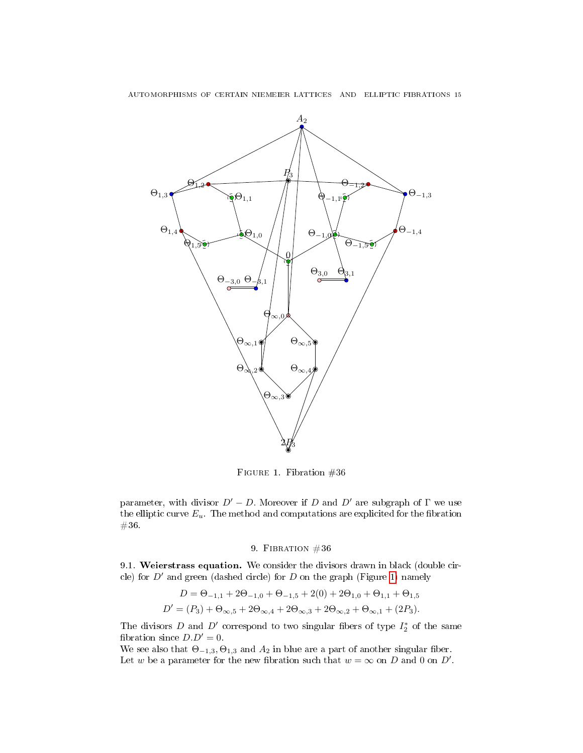

<span id="page-14-0"></span>FIGURE 1. Fibration  $#36$ 

parameter, with divisor  $D' - D$ . Moreover if D and D' are subgraph of  $\Gamma$  we use the elliptic curve  $E_u$ . The method and computations are explicited for the fibration #36.

## 9. FIBRATION  $#36$

9.1. Weierstrass equation. We consider the divisors drawn in black (double circle) for  $D'$  and green (dashed circle) for D on the graph (Figure [1\)](#page-14-0) namely

$$
D = \Theta_{-1,1} + 2\Theta_{-1,0} + \Theta_{-1,5} + 2(0) + 2\Theta_{1,0} + \Theta_{1,1} + \Theta_{1,5}
$$
  

$$
D' = (P_3) + \Theta_{\infty,5} + 2\Theta_{\infty,4} + 2\Theta_{\infty,3} + 2\Theta_{\infty,2} + \Theta_{\infty,1} + (2P_3).
$$

The divisors D and D' correspond to two singular fibers of type  $I_2^*$  of the same fibration since  $D.D' = 0$ .

We see also that  $\Theta_{-1,3}$ ,  $\Theta_{1,3}$  and  $A_2$  in blue are a part of another singular fiber. Let w be a parameter for the new fibration such that  $w = \infty$  on D and 0 on D'.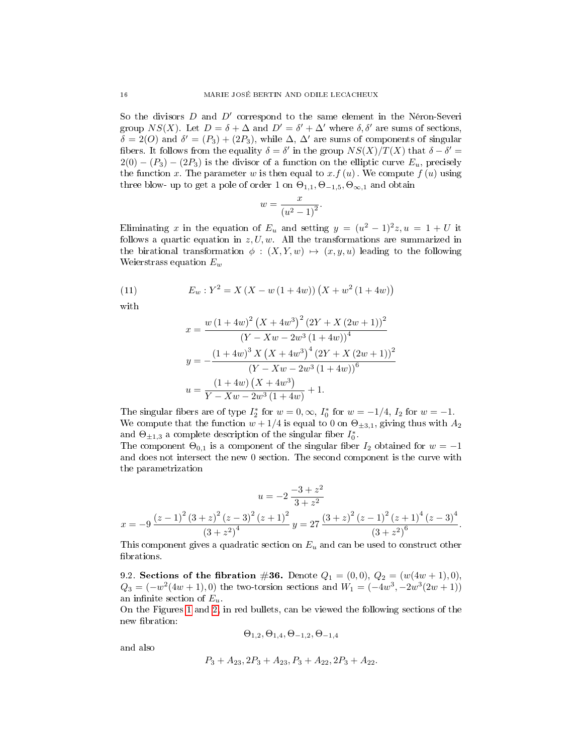So the divisors  $D$  and  $D'$  correspond to the same element in the Néron-Severi group  $NS(X)$ . Let  $D = \delta + \Delta$  and  $D' = \delta' + \Delta'$  where  $\delta, \delta'$  are sums of sections,  $\delta = 2(O)$  and  $\delta' = (P_3) + (2P_3)$ , while  $\Delta$ ,  $\Delta'$  are sums of components of singular fibers. It follows from the equality  $\delta = \delta'$  in the group  $NS(X)/T(X)$  that  $\delta - \delta' =$  $2(0) - (P_3) - (2P_3)$  is the divisor of a function on the elliptic curve  $E_u$ , precisely the function x. The parameter w is then equal to  $x.f(u)$ . We compute  $f(u)$  using three blow- up to get a pole of order 1 on  $\Theta_{1,1}, \Theta_{-1,5}, \Theta_{\infty,1}$  and obtain

$$
w = \frac{x}{\left(u^2 - 1\right)^2}
$$

.

Eliminating x in the equation of  $E_u$  and setting  $y = (u^2 - 1)^2 z, u = 1 + U$  it follows a quartic equation in  $z, U, w$ . All the transformations are summarized in the birational transformation  $\phi : (X, Y, w) \mapsto (x, y, u)$  leading to the following Weierstrass equation  $E_w$ 

(11) 
$$
E_w: Y^2 = X (X - w (1 + 4w)) (X + w^2 (1 + 4w))
$$

with

$$
x = \frac{w (1 + 4w)^2 (X + 4w^3)^2 (2Y + X (2w + 1))^2}{(Y - Xw - 2w^3 (1 + 4w))^4}
$$
  

$$
y = -\frac{(1 + 4w)^3 X (X + 4w^3)^4 (2Y + X (2w + 1))^2}{(Y - Xw - 2w^3 (1 + 4w))^6}
$$
  

$$
u = \frac{(1 + 4w) (X + 4w^3)}{Y - Xw - 2w^3 (1 + 4w)} + 1.
$$

The singular fibers are of type  $I_2^*$  for  $w = 0, \infty$ ,  $I_0^*$  for  $w = -1/4$ ,  $I_2$  for  $w = -1$ . We compute that the function  $w + 1/4$  is equal to 0 on  $\Theta_{\pm 3,1}$ , giving thus with  $A_2$ and  $\Theta_{\pm 1,3}$  a complete description of the singular fiber  $I_0^*$ .

The component  $\Theta_{0,1}$  is a component of the singular fiber  $I_2$  obtained for  $w = -1$ and does not intersect the new 0 section. The second component is the curve with the parametrization

$$
u = -2 \frac{-3 + z^2}{3 + z^2}
$$
  

$$
x = -9 \frac{(z - 1)^2 (3 + z)^2 (z - 3)^2 (z + 1)^2}{(3 + z^2)^4} y = 27 \frac{(3 + z)^2 (z - 1)^2 (z + 1)^4 (z - 3)^4}{(3 + z^2)^6}.
$$

This component gives a quadratic section on  $E_u$  and can be used to construct other brations.

9.2. Sections of the fibration #36. Denote  $Q_1 = (0,0), Q_2 = (w(4w + 1), 0),$  $Q_3 = (-w^2(4w+1), 0)$  the two-torsion sections and  $W_1 = (-4w^3, -2w^3(2w+1))$ an infinite section of  $E_u$ .

On the Figures [1](#page-14-0) and [2,](#page-16-0) in red bullets, can be viewed the following sections of the new fibration:

$$
\Theta_{1,2}, \Theta_{1,4}, \Theta_{-1,2}, \Theta_{-1,4}
$$

and also

$$
P_3 + A_{23}, 2P_3 + A_{23}, P_3 + A_{22}, 2P_3 + A_{22}.
$$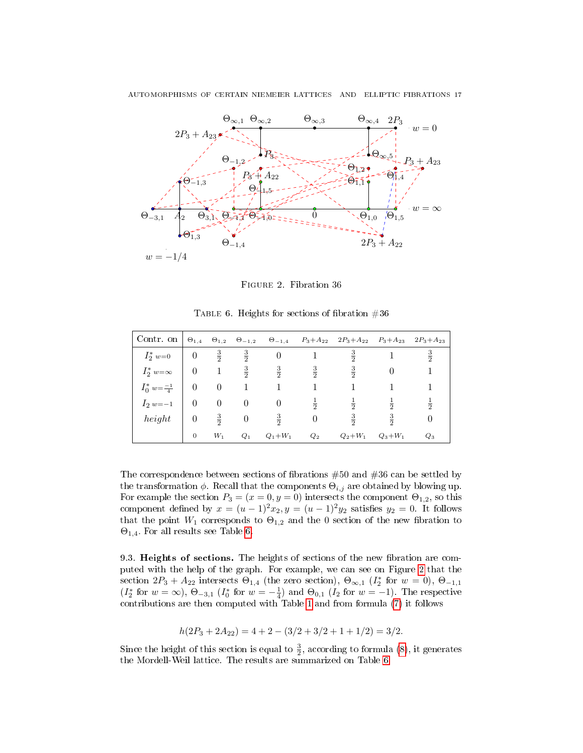

<span id="page-16-1"></span><span id="page-16-0"></span>Figure 2. Fibration 36

|  |  |  | TABLE 6. Heights for sections of fibration $#36$ |  |
|--|--|--|--------------------------------------------------|--|
|  |  |  |                                                  |  |

| Contr. on $\theta_{1,4}$ $\theta_{1,2}$ $\theta_{-1,2}$ $\theta_{-1,4}$ $P_3 + A_{22}$ $2P_3 + A_{22}$ $P_3 + A_{23}$ $2P_3 + A_{23}$ |                   |               |                          |               |                |               |               |               |
|---------------------------------------------------------------------------------------------------------------------------------------|-------------------|---------------|--------------------------|---------------|----------------|---------------|---------------|---------------|
| $I_2^*$ w=0                                                                                                                           | $\overline{0}$    | $rac{3}{2}$   | $\frac{3}{2}$            | $\theta$      |                | $rac{3}{2}$   |               | $rac{3}{2}$   |
| $I_2^* w = \infty$                                                                                                                    | $\hspace{0.1em}0$ | $\mathbf{1}$  | $rac{3}{2}$              | $\frac{3}{2}$ | $\frac{3}{2}$  | $\frac{3}{2}$ |               |               |
| $I_0^* w = \frac{-1}{4}$                                                                                                              | $\overline{0}$    | $\theta$      |                          |               |                |               |               |               |
| $I_2$ w=-1                                                                                                                            | $\theta$          | $\theta$      | $\overline{0}$           | $\theta$      | $\frac{1}{2}$  | $\frac{1}{2}$ | $\frac{1}{2}$ | $\frac{1}{2}$ |
| height                                                                                                                                | $\overline{0}$    | $\frac{3}{2}$ | $\overline{\phantom{0}}$ | $\frac{3}{2}$ | $\overline{0}$ | $\frac{3}{2}$ | $rac{3}{2}$   |               |
|                                                                                                                                       | $\mathbf{0}$      | $W_1$         | $Q_1$                    | $Q_1 + W_1$   | $Q_2$          | $Q_2 + W_1$   | $Q_3+W_1$     | $Q_3$         |

The correspondence between sections of fibrations  $#50$  and  $#36$  can be settled by the transformation  $\phi$ . Recall that the components  $\Theta_{i,j}$  are obtained by blowing up. For example the section  $P_3 = (x = 0, y = 0)$  intersects the component  $\Theta_{1,2}$ , so this component defined by  $x = (u - 1)^2 x_2$ ,  $y = (u - 1)^2 y_2$  satisfies  $y_2 = 0$ . It follows that the point  $W_1$  corresponds to  $\Theta_{1,2}$  and the 0 section of the new fibration to  $\Theta_{1,4}$ . For all results see Table [6.](#page-16-1)

9.3. Heights of sections. The heights of sections of the new fibration are computed with the help of the graph. For example, we can see on Figure [2](#page-16-0) that the section  $2P_3 + A_{22}$  intersects  $\Theta_{1,4}$  (the zero section),  $\Theta_{\infty,1}$  ( $I_2^*$  for  $w = 0$ ),  $\Theta_{-1,1}$  $(I_2^*$  for  $w = \infty$ ),  $\Theta_{-3,1}$   $(I_0^*$  for  $w = -\frac{1}{4}$  and  $\Theta_{0,1}$   $(I_2$  for  $w = -1)$ . The respective contributions are then computed with Table [1](#page-6-0) and from formula [\(7\)](#page-6-1) it follows

$$
h(2P_3 + 2A_{22}) = 4 + 2 - (3/2 + 3/2 + 1 + 1/2) = 3/2.
$$

Since the height of this section is equal to  $\frac{3}{2}$ , according to formula [\(8\)](#page-7-0), it generates the Mordell-Weil lattice. The results are summarized on Table [6.](#page-16-1)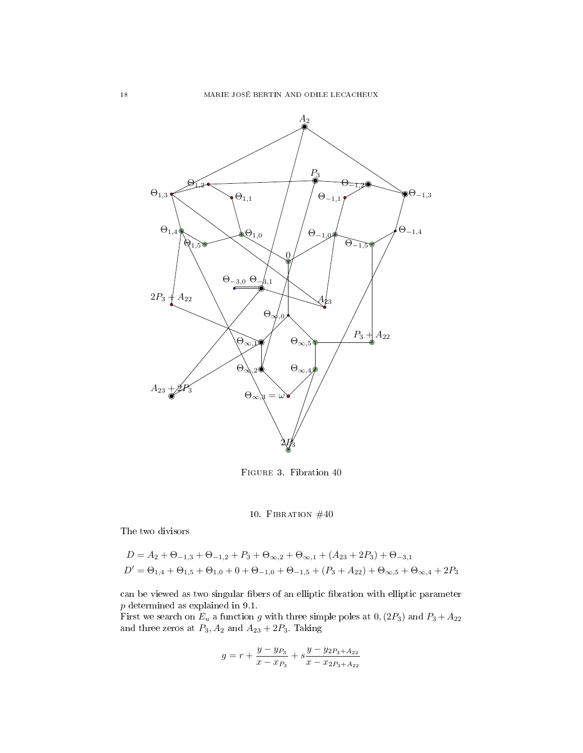

<span id="page-17-0"></span>Figure 3. Fibration 40

## 10. FIBRATION  $#40$

The two divisors

$$
D = A_2 + \Theta_{-1,3} + \Theta_{-1,2} + P_3 + \Theta_{\infty,2} + \Theta_{\infty,1} + (A_{23} + 2P_3) + \Theta_{-3,1}
$$
  

$$
D' = \Theta_{1,4} + \Theta_{1,5} + \Theta_{1,0} + 0 + \Theta_{-1,0} + \Theta_{-1,5} + (P_3 + A_{22}) + \Theta_{\infty,5} + \Theta_{\infty,4} + 2P_3
$$

can be viewed as two singular fibers of an elliptic fibration with elliptic parameter p determined as explained in 9.1.

First we search on  $E_u$  a function g with three simple poles at  $0,(2P_3)$  and  $P_3 + A_{22}$ and three zeros at  $P_3$ ,  $A_2$  and  $A_{23} + 2P_3$ . Taking

$$
g = r + \frac{y - y_{P_3}}{x - x_{P_3}} + s \frac{y - y_{2P_3 + A_{22}}}{x - x_{2P_3 + A_{22}}}
$$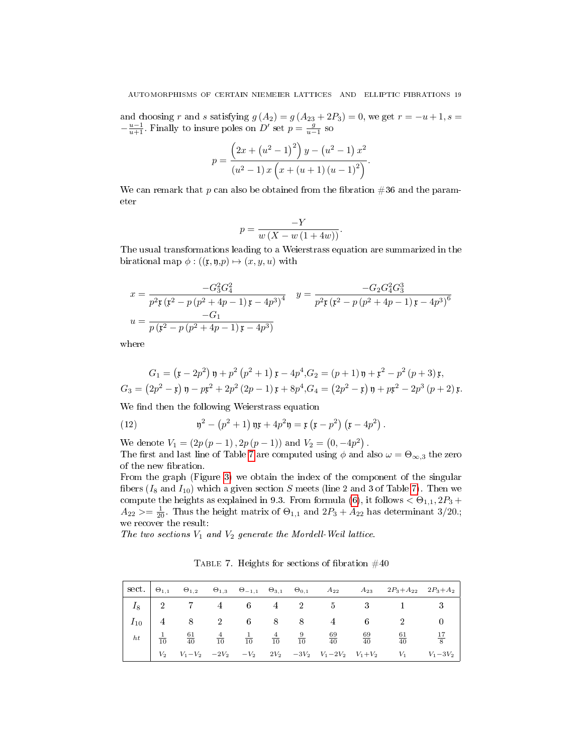and choosing r and s satisfying  $g(A_2) = g(A_{23} + 2P_3) = 0$ , we get  $r = -u + 1$ , s =  $-\frac{u-1}{u+1}$ . Finally to insure poles on D' set  $p=\frac{g}{u-1}$  so

$$
p = \frac{(2x + (u^{2} - 1)^{2}) y - (u^{2} - 1) x^{2}}{(u^{2} - 1) x (x + (u + 1) (u - 1)^{2})}.
$$

We can remark that p can also be obtained from the fibration  $\#36$  and the parameter

$$
p = \frac{-Y}{w\left(X - w\left(1 + 4w\right)\right)}.
$$

The usual transformations leading to a Weierstrass equation are summarized in the birational map  $\phi : ((\mathfrak{x}, \mathfrak{y}, p) \mapsto (x, y, u)$  with

$$
x = \frac{-G_3^2 G_4^2}{p^2 \mathfrak{r} (\mathfrak{x}^2 - p (p^2 + 4p - 1) \mathfrak{x} - 4p^3)^4} \quad y = \frac{-G_2 G_4^2 G_3^3}{p^2 \mathfrak{r} (\mathfrak{x}^2 - p (p^2 + 4p - 1) \mathfrak{x} - 4p^3)^6}
$$

$$
u = \frac{-G_1}{p (\mathfrak{x}^2 - p (p^2 + 4p - 1) \mathfrak{x} - 4p^3)}
$$

where

$$
G_1 = (\mathfrak{x} - 2p^2) \mathfrak{y} + p^2 (p^2 + 1) \mathfrak{x} - 4p^4, G_2 = (p+1) \mathfrak{y} + \mathfrak{x}^2 - p^2 (p+3) \mathfrak{x},
$$
  
\n
$$
G_3 = (2p^2 - \mathfrak{x}) \mathfrak{y} - p\mathfrak{x}^2 + 2p^2 (2p - 1) \mathfrak{x} + 8p^4, G_4 = (2p^2 - \mathfrak{x}) \mathfrak{y} + p\mathfrak{x}^2 - 2p^3 (p+2) \mathfrak{x}.
$$

We find then the following Weierstrass equation

(12) 
$$
\mathfrak{y}^2 - (p^2 + 1) \mathfrak{y} + 4p^2 \mathfrak{y} = \mathfrak{x} ( \mathfrak{x} - p^2) ( \mathfrak{x} - 4p^2).
$$

We denote  $V_1 = (2p(p-1), 2p(p-1))$  and  $V_2 = (0, -4p^2)$ .

The first and last line of Table [7](#page-18-0) are computed using  $\phi$  and also  $\omega = \Theta_{\infty,3}$  the zero of the new fibration.

From the graph (Figure [3\)](#page-17-0) we obtain the index of the component of the singular fibers  $(I_8 \text{ and } I_{10})$  which a given section S meets (line 2 and 3 of Table [7\)](#page-18-0). Then we compute the heights as explained in 9.3. From formula [\(6\)](#page-6-3), it follows  $< \Theta_{1,1}, 2P_3 +$  $A_{22} \ge \frac{1}{20}$ . Thus the height matrix of  $\Theta_{1,1}$  and  $2P_3 + A_{22}$  has determinant 3/20.; we recover the result:

The two sections  $V_1$  and  $V_2$  generate the Mordell-Weil lattice.

<span id="page-18-0"></span>TABLE 7. Heights for sections of fibration  $\#40$ 

|  |  |  |  | $\begin{array}{c ccccccccccccccccccccc} I_8 & 2 & 7 & 4 & 6 & 4 & 2 & 5 & 3 & 1 & 3 \end{array}$                                                                                                                                     |  |
|--|--|--|--|--------------------------------------------------------------------------------------------------------------------------------------------------------------------------------------------------------------------------------------|--|
|  |  |  |  | $I_{10}$   4 8 2 6 8 8 4 6 2 0                                                                                                                                                                                                       |  |
|  |  |  |  | $\begin{array}{c ccccccccc} ht & \begin{vmatrix} & \frac{1}{10} && 61 & & \frac{4}{10} && \frac{1}{10} && \frac{4}{10} && \frac{9}{10} && \frac{69}{40} && \frac{69}{40} && \frac{61}{40} && \frac{17}{8} \end{vmatrix} \end{array}$ |  |
|  |  |  |  | $V_2 \hspace{0.5cm} V_1 - V_2 \hspace{0.5cm} - 2 V_2 \hspace{0.5cm} - V_2 \hspace{0.5cm} 2 V_2 \hspace{0.5cm} - 3 V_2 \hspace{0.5cm} V_1 - 2 V_2 \hspace{0.5cm} V_1 + V_2 \hspace{0.5cm} V_1 \hspace{0.5cm} - V_1 - 3 V_2$           |  |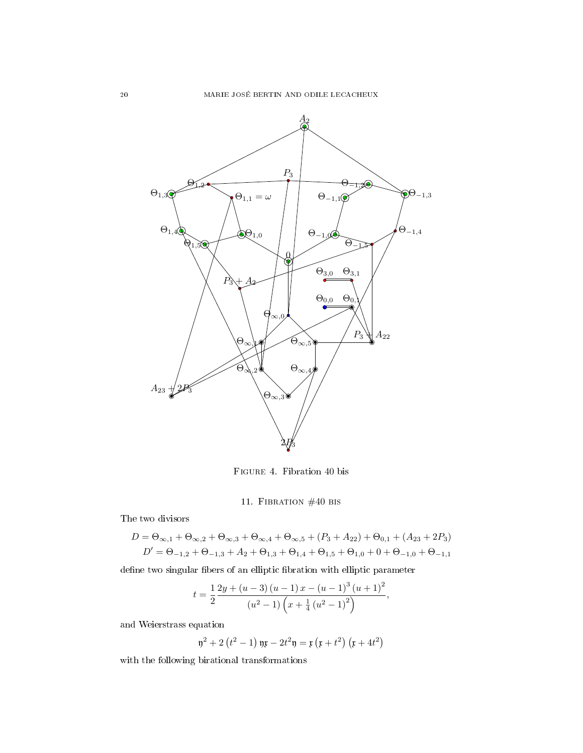

Figure 4. Fibration 40 bis

## 11. Fibration #40 bis

The two divisors

$$
D = \Theta_{\infty,1} + \Theta_{\infty,2} + \Theta_{\infty,3} + \Theta_{\infty,4} + \Theta_{\infty,5} + (P_3 + A_{22}) + \Theta_{0,1} + (A_{23} + 2P_3)
$$
  

$$
D' = \Theta_{-1,2} + \Theta_{-1,3} + A_2 + \Theta_{1,3} + \Theta_{1,4} + \Theta_{1,5} + \Theta_{1,0} + 0 + \Theta_{-1,0} + \Theta_{-1,1}
$$

define two singular fibers of an elliptic fibration with elliptic parameter

$$
t = \frac{1}{2} \frac{2y + (u - 3)(u - 1)x - (u - 1)^{3}(u + 1)^{2}}{(u^{2} - 1)\left(x + \frac{1}{4}(u^{2} - 1)^{2}\right)},
$$

and Weierstrass equation

$$
\mathfrak{y}^2 + 2(t^2 - 1) \mathfrak{y}x - 2t^2 \mathfrak{y} = \mathfrak{x} (x + t^2) (x + 4t^2)
$$

with the following birational transformations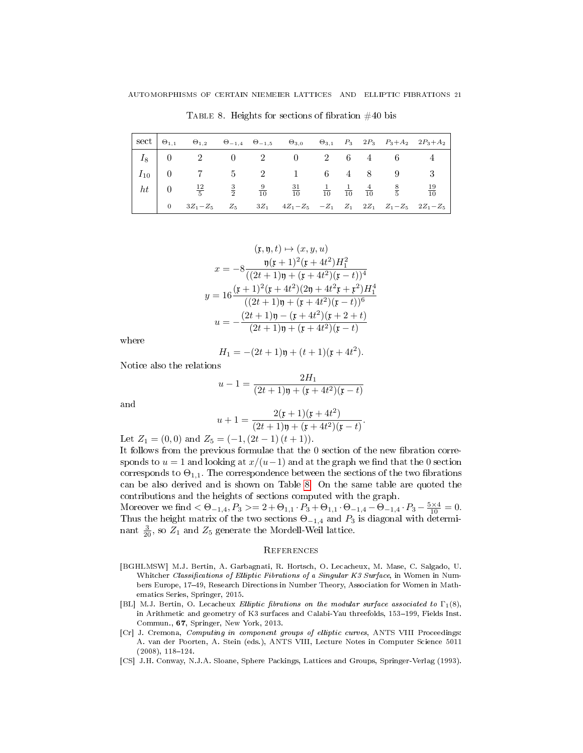$\text{sect } \big| \Theta_{1,1} \Theta_{1,2} \Theta_{-1,4} \Theta_{-1,5} \Theta_{3,0} \Theta_{3,1} \Theta_{3,1} P_3 \quad 2P_3 \quad P_3+A_2 \quad 2P_3+A_2$  $I_8$  | 0  $2$  0  $2$  0  $2$  6  $4$  6  $4$  $I_{10}$  | 0 | 7 | 5 | 2 | 1 | 6 | 4 | 8 | 8 | 9 | 3  $ht \begin{array}{|c|c|} \hline 0 \end{array}$  $\frac{12}{5}$  $\frac{3}{2}$  $\frac{9}{10}$  $\frac{31}{10}$  $\frac{1}{10}$  $\frac{1}{10}$  $\frac{4}{10}$ 8 5  $\frac{19}{10}$ 0  $3Z_1-Z_5$   $Z_5$   $3Z_1$   $4Z_1-Z_5$   $-Z_1$   $Z_1$   $2Z_1$   $Z_1-Z_5$   $2Z_1-Z_5$ 

<span id="page-20-4"></span>TABLE 8. Heights for sections of fibration  $\#40$  bis

$$
(\mathfrak{x}, \mathfrak{y}, t) \mapsto (x, y, u)
$$

$$
x = -8 \frac{\mathfrak{y}(\mathfrak{x} + 1)^2 (\mathfrak{x} + 4t^2) H_1^2}{((2t+1)\mathfrak{y} + (\mathfrak{x} + 4t^2)(\mathfrak{x} - t))^4}
$$

$$
y = 16 \frac{(\mathfrak{x} + 1)^2 (\mathfrak{x} + 4t^2)(2\mathfrak{y} + 4t^2 \mathfrak{x} + \mathfrak{x}^2) H_1^4}{((2t+1)\mathfrak{y} + (\mathfrak{x} + 4t^2)(\mathfrak{x} - t))^6}
$$

$$
u = -\frac{(2t+1)\mathfrak{y} - (\mathfrak{x} + 4t^2)(\mathfrak{x} + 2 + t)}{(2t+1)\mathfrak{y} + (\mathfrak{x} + 4t^2)(\mathfrak{x} - t)}
$$

where

$$
H_1 = -(2t+1)\mathfrak{y} + (t+1)(\mathfrak{x} + 4t^2).
$$

Notice also the relations

$$
u - 1 = \frac{2H_1}{(2t+1)\mathfrak{y} + (\mathfrak{x} + 4t^2)(\mathfrak{x} - t)}
$$

and

$$
u+1=\frac{2(\mathfrak{x}+1)(\mathfrak{x}+4t^2)}{(2t+1)\mathfrak{y}+(\mathfrak{x}+4t^2)(\mathfrak{x}-t)}.
$$

Let  $Z_1 = (0,0)$  and  $Z_5 = (-1,(2t-1)(t+1)).$ 

It follows from the previous formulae that the  $0$  section of the new fibration corresponds to  $u = 1$  and looking at  $x/(u-1)$  and at the graph we find that the 0 section corresponds to  $\Theta_{1,1}$ . The correspondence between the sections of the two fibrations can be also derived and is shown on Table [8.](#page-20-4) On the same table are quoted the contributions and the heights of sections computed with the graph.

Moreover we find  $<\Theta_{-1,4}$ ,  $P_3>=2+\Theta_{1,1}\cdot P_3+\Theta_{1,1}\cdot \Theta_{-1,4}-\Theta_{-1,4}\cdot P_3-\frac{5\times4}{10}=0.$ Thus the height matrix of the two sections  $\Theta_{-1,4}$  and  $P_3$  is diagonal with determinant  $\frac{3}{20}$ , so  $Z_1$  and  $Z_5$  generate the Mordell-Weil lattice.

### **REFERENCES**

- <span id="page-20-0"></span>[BGHLMSW] M.J. Bertin, A. Garbagnati, R. Hortsch, O. Lecacheux, M. Mase, C. Salgado, U. Whitcher Classifications of Elliptic Fibrations of a Singular K3 Surface, in Women in Numbers Europe, 1749, Research Directions in Number Theory, Association for Women in Mathematics Series, Springer, 2015.
- <span id="page-20-1"></span>[BL] M.J. Bertin, O. Lecacheux Elliptic fibrations on the modular surface associated to  $\Gamma_1(8)$ , in Arithmetic and geometry of K3 surfaces and Calabi-Yau threefolds, 153-199, Fields Inst. Commun., 67, Springer, New York, 2013.
- <span id="page-20-3"></span>[Cr] J. Cremona, Computing in component groups of elliptic curves, ANTS VIII Proceedings: A. van der Poorten, A. Stein (eds.), ANTS VIII, Lecture Notes in Computer Science 5011  $(2008), 118-124.$
- <span id="page-20-2"></span>[CS] J.H. Conway, N.J.A. Sloane, Sphere Packings, Lattices and Groups, Springer-Verlag (1993).